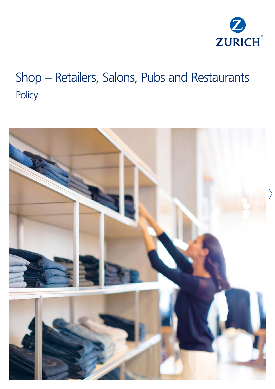

# Shop – Retailers, Salons, Pubs and Restaurants **Policy**

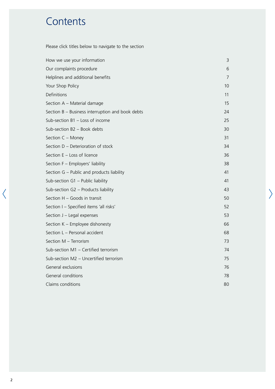# **Contents**

Please click titles below to navigate to the section

| How we use your information                      | 3  |
|--------------------------------------------------|----|
| Our complaints procedure                         | 6  |
| Helplines and additional benefits                | 7  |
| Your Shop Policy                                 | 10 |
| Definitions                                      | 11 |
| Section A - Material damage                      | 15 |
| Section B - Business interruption and book debts | 24 |
| Sub-section B1 - Loss of income                  | 25 |
| Sub-section B2 - Book debts                      | 30 |
| Section C - Money                                | 31 |
| Section D - Deterioration of stock               | 34 |
| Section E - Loss of licence                      | 36 |
| Section F - Employers' liability                 | 38 |
| Section G - Public and products liability        | 41 |
| Sub-section $G1$ – Public liability              | 41 |
| Sub-section G2 - Products liability              | 43 |
| Section H - Goods in transit                     | 50 |
| Section I - Specified items 'all risks'          | 52 |
| Section J - Legal expenses                       | 53 |
| Section K - Employee dishonesty                  | 66 |
| Section L - Personal accident                    | 68 |
| Section M - Terrorism                            | 73 |
| Sub-section M1 - Certified terrorism             | 74 |
| Sub-section M2 - Uncertified terrorism           | 75 |
| General exclusions                               | 76 |
| General conditions                               | 78 |
| Claims conditions                                | 80 |

 $\left\langle \right\rangle$ 

 $\langle$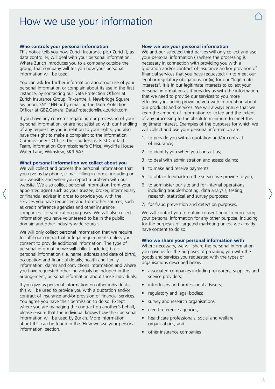# <span id="page-2-0"></span>How we use your information

#### **Who controls your personal information**

This notice tells you how Zurich Insurance plc ('Zurich'), as data controller, will deal with your personal information. Where Zurich introduces you to a company outside the group, that company will tell you how your personal information will be used.

You can ask for further information about our use of your personal information or complain about its use in the first instance, by contacting our Data Protection Officer at: Zurich Insurance Group, Tri-centre 1, Newbridge Square, Swindon, SN1 1HN or by emailing the Data Protection Officer at [GBZ.General.Data.Protection@uk.zurich.com.](mailto:GBZ.General.Data.Protection@uk.zurich.com)

If you have any concerns regarding our processing of your personal information, or are not satisfied with our handling of any request by you in relation to your rights, you also have the right to make a complaint to the Information Commissioner's Office. Their address is: First Contact Team, Information Commissioner's Office, Wycliffe House, Water Lane, Wilmslow, SK9 5AF.

#### **What personal information we collect about you**

We will collect and process the personal information that you give us by phone, e-mail, filling in forms, including on our website, and when you report a problem with our website. We also collect personal information from your appointed agent such as your trustee, broker, intermediary or financial adviser in order to provide you with the services you have requested and from other sources, such as credit reference agencies and other insurance companies, for verification purposes. We will also collect information you have volunteered to be in the public domain and other industry-wide sources.

We will only collect personal information that we require to fulfil our contractual or legal requirements unless you consent to provide additional information. The type of personal information we will collect includes; basic personal information (i.e. name, address and date of birth), occupation and financial details, health and family information, claims and convictions information and where you have requested other individuals be included in the arrangement, personal information about those individuals.

If you give us personal information on other individuals, this will be used to provide you with a quotation and/or contract of insurance and/or provision of financial services. You agree you have their permission to do so. Except where you are managing the contract on another's behalf, please ensure that the individual knows how their personal information will be used by Zurich. More information about this can be found in the 'How we use your personal information' section.

#### **How we use your personal information**

We and our selected third parties will only collect and use your personal information (i) where the processing is necessary in connection with providing you with a quotation and/or contract of insurance and/or provision of financial services that you have requested; (ii) to meet our legal or regulatory obligations; or (iii) for our "legitimate interests". It is in our legitimate interests to collect your personal information as it provides us with the information that we need to provide our services to you more effectively including providing you with information about our products and services. We will always ensure that we keep the amount of information collected and the extent of any processing to the absolute minimum to meet this legitimate interest. Examples of the purposes for which we will collect and use your personal information are:

- 1. to provide you with a quotation and/or contract of insurance;
- 2. to identify you when you contact us;
- 3. to deal with administration and assess claims;
- 4. to make and receive payments;
- 5. to obtain feedback on the service we provide to you;
- 6. to administer our site and for internal operations including troubleshooting, data analysis, testing, research, statistical and survey purposes;
- 7. for fraud prevention and detection purposes.

We will contact you to obtain consent prior to processing your personal information for any other purpose, including for the purposes of targeted marketing unless we already have consent to do so.

#### **Who we share your personal information with**

Where necessary, we will share the personal information you gave us for the purposes of providing you with the goods and services you requested with the types of organisations described below:

- associated companies including reinsurers, suppliers and service providers;
- introducers and professional advisers;
- regulatory and legal bodies;
- survey and research organisations;
- credit reference agencies;
- healthcare professionals, social and welfare organisations; and
- other insurance companies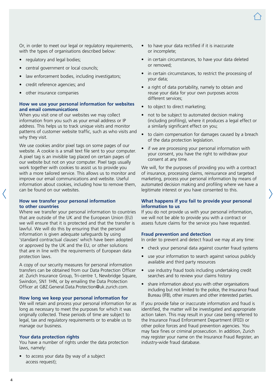Or, in order to meet our legal or regulatory requirements, with the types of organisations described below:

- regulatory and legal bodies;
- central government or local councils;
- law enforcement bodies, including investigators;
- credit reference agencies; and
- other insurance companies

#### **How we use your personal information for websites and email communications**

When you visit one of our websites we may collect information from you such as your email address or IP address. This helps us to track unique visits and monitor patterns of customer website traffic, such as who visits and why they visit.

We use cookies and/or pixel tags on some pages of our website. A cookie is a small text file sent to your computer. A pixel tag is an invisible tag placed on certain pages of our website but not on your computer. Pixel tags usually work together with cookies to assist us to provide you with a more tailored service. This allows us to monitor and improve our email communications and website. Useful information about cookies, including how to remove them, can be found on our websites.

#### **How we transfer your personal information to other countries**

Where we transfer your personal information to countries that are outside of the UK and the European Union (EU) we will ensure that it is protected and that the transfer is lawful. We will do this by ensuring that the personal information is given adequate safeguards by using 'standard contractual clauses' which have been adopted or approved by the UK and the EU, or other solutions that are in line with the requirements of European data protection laws.

A copy of our security measures for personal information transfers can be obtained from our Data Protection Officer at: Zurich Insurance Group, Tri-centre 1, Newbridge Square, Swindon, SN1 1HN, or by emailing the Data Protection Officer at [GBZ.General.Data.Protection@uk.zurich.com](mailto:GBZ.General.Data.Protection@uk.zurich.com).

#### **How long we keep your personal information for**

We will retain and process your personal information for as long as necessary to meet the purposes for which it was originally collected. These periods of time are subject to legal, tax and regulatory requirements or to enable us to manage our business.

#### **Your data protection rights**

You have a number of rights under the data protection laws, namely:

• to access your data (by way of a subject access request);

- to have your data rectified if it is inaccurate or incomplete;
- in certain circumstances, to have your data deleted or removed;
- in certain circumstances, to restrict the processing of your data;
- a right of data portability, namely to obtain and reuse your data for your own purposes across different services;
- to object to direct marketing;
- not to be subject to automated decision making (including profiling), where it produces a legal effect or a similarly significant effect on you;
- to claim compensation for damages caused by a breach of the data protection legislation.
- if we are processing your personal information with your consent, you have the right to withdraw your consent at any time.

We will, for the purposes of providing you with a contract of insurance, processing claims, reinsurance and targeted marketing, process your personal information by means of automated decision making and profiling where we have a legitimate interest or you have consented to this.

#### **What happens if you fail to provide your personal information to us**

If you do not provide us with your personal information, we will not be able to provide you with a contract or assess future claims for the service you have requested.

#### **Fraud prevention and detection**

In order to prevent and detect fraud we may at any time:

- check your personal data against counter fraud systems
- use your information to search against various publicly available and third party resources
- use industry fraud tools including undertaking credit searches and to review your claims history
- share information about you with other organisations including but not limited to the police, the Insurance Fraud Bureau (IFB), other insurers and other interested parties.

If you provide false or inaccurate information and fraud is identified, the matter will be investigated and appropriate action taken. This may result in your case being referred to the Insurance Fraud Enforcement Department (IFED) or other police forces and fraud prevention agencies. You may face fines or criminal prosecution. In addition, Zurich may register your name on the Insurance Fraud Register, an industry-wide fraud database.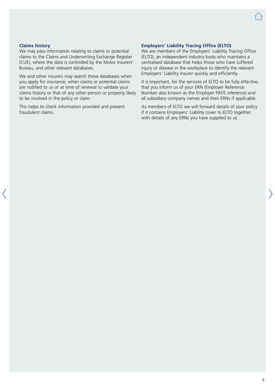#### **Claims history**

We may pass information relating to claims or potential claims to the Claims and Underwriting Exchange Register (CUE), where the data is controlled by the Motor Insurers' Bureau, and other relevant databases.

We and other insurers may search these databases when you apply for insurance, when claims or potential claims are notified to us or at time of renewal to validate your claims history or that of any other person or property likely to be involved in the policy or claim.

This helps to check information provided and prevent fraudulent claims.

#### **Employers' Liability Tracing Office (ELTO)**

We are members of the Employers' Liability Tracing Office (ELTO), an independent industry body who maintains a centralised database that helps those who have suffered injury or disease in the workplace to identify the relevant Employers' Liability insurer quickly and efficiently.

It is important, for the services of ELTO to be fully effective, that you inform us of your ERN (Employer Reference Number also known as the Employer PAYE reference) and all subsidiary company names and their ERNs if applicable.

As members of ELTO we will forward details of your policy if it contains Employers' Liability cover to ELTO together with details of any ERNs you have supplied to us.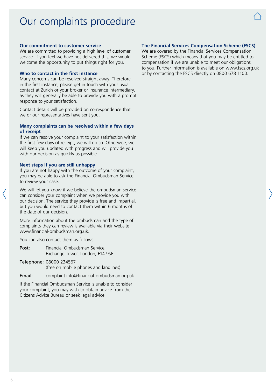# <span id="page-5-0"></span>Our complaints procedure

#### **Our commitment to customer service**

We are committed to providing a high level of customer service. If you feel we have not delivered this, we would welcome the opportunity to put things right for you.

#### **Who to contact in the first instance**

Many concerns can be resolved straight away. Therefore in the first instance, please get in touch with your usual contact at Zurich or your broker or insurance intermediary, as they will generally be able to provide you with a prompt response to your satisfaction.

Contact details will be provided on correspondence that we or our representatives have sent you.

#### **Many complaints can be resolved within a few days of receipt**

If we can resolve your complaint to your satisfaction within the first few days of receipt, we will do so. Otherwise, we will keep you updated with progress and will provide you with our decision as quickly as possible.

#### **Next steps if you are still unhappy**

If you are not happy with the outcome of your complaint, you may be able to ask the Financial Ombudsman Service to review your case.

We will let you know if we believe the ombudsman service can consider your complaint when we provide you with our decision. The service they provide is free and impartial, but you would need to contact them within 6 months of the date of our decision.

More information about the ombudsman and the type of complaints they can review is available via their website [www.financial-ombudsman.org.uk.](http://www.financial-ombudsman.org.uk)

You can also contact them as follows:

- Post: Financial Ombudsman Service, Exchange Tower, London, E14 9SR
- Telephone: 08000 234567 (free on mobile phones and landlines)
- Email: [complaint.info@financial-ombudsman.org.uk](mailto:complaint.info@financial-ombudsman.org.uk)

If the Financial Ombudsman Service is unable to consider your complaint, you may wish to obtain advice from the Citizens Advice Bureau or seek legal advice.

#### **The Financial Services Compensation Scheme (FSCS)**

We are covered by the Financial Services Compensation Scheme (FSCS) which means that you may be entitled to compensation if we are unable to meet our obligations to you. Further information is available on [www.fscs.org.uk](http://www.fscs.org.uk) or by contacting the FSCS directly on 0800 678 1100.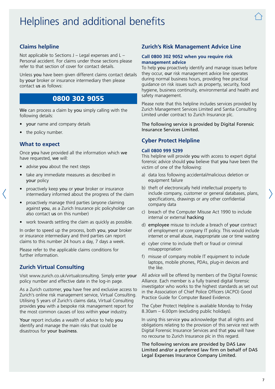# <span id="page-6-0"></span>Helplines and additional benefits



# **Claims helpline**

Not applicable to Sections  $J -$  Legal expenses and  $L -$ Personal accident. For claims under those sections please refer to that section of cover for contact details.

Unless you have been given different claims contact details by your broker or insurance intermediary then please contact us as follows:

# 0800 302 9055

We can process a claim by you simply calling with the following details:

- your name and company details
- the policy number.

#### **What to expect**

Once you have provided all the information which we have requested, we will:

- advise you about the next steps
- take any immediate measures as described in your policy
- proactively keep you or your broker or insurance intermediary informed about the progress of the claim
- proactively manage third parties (anyone claiming against you, as a Zurich Insurance plc policyholder can also contact us on this number)
- work towards settling the claim as quickly as possible.

In order to speed up the process, both you, your broker or insurance intermediary and third parties can report claims to this number 24 hours a day, 7 days a week.

Please refer to the applicable claims conditions for further information.

# **Zurich Virtual Consulting**

Visit [www.zurich.co.uk/virtualconsulting.](http://www.zurich.co.uk/virtualconsulting) Simply enter your policy number and effective date in the log-in page.

As a Zurich customer, you have free and exclusive access to Zurich's online risk management service, Virtual Consulting. Utilising 5 years of Zurich's claims data, Virtual Consulting provides you with a bespoke risk management report for the most common causes of loss within your industry.

Your report includes a wealth of advice to help you identify and manage the main risks that could be disastrous for your business.

# **Zurich's Risk Management Advice Line**

#### **Call 0800 302 9052 when you require risk management advice**

To help you proactively identify and manage issues before they occur, our risk management advice line operates during normal business hours, providing free practical guidance on risk issues such as property, security, food hygiene, business continuity, environmental and health and safety management.

Please note that this helpline includes services provided by Zurich Management Services Limited and Santia Consulting Limited under contract to Zurich Insurance plc.

The following service is provided by Digital Forensic Insurance Services Limited.

# **Cyber Protect Helpline**

#### **Call 0800 999 5299**

This helpline will provide you with access to expert digital forensic advice should you believe that you have been the victim of one of the following:

- a) data loss following accidental/malicious deletion or equipment failure
- b) theft of electronically held intellectual property to include company, customer or general databases, plans, specifications, drawings or any other confidential company data
- c) breach of the Computer Misuse Act 1990 to include internal or external hacking
- d) employee misuse to include a breach of your contract of employment or company IT policy. This would include internet or email abuse, inappropriate use or time wasting
- e) cyber crime to include theft or fraud or criminal misappropriation
- f) misuse of company mobile IT equipment to include laptops, mobile phones, PDAs, plug-in devices and the like.

All advice will be offered by members of the Digital Forensic Alliance. Each member is a fully trained digital forensic investigator who works to the highest standards as set out in the Association of Chief Police Officers (ACPO) Good Practice Guide for Computer Based Evidence.

The Cyber Protect Helpline is available Monday to Friday 8.30am – 6.00pm (excluding public holidays).

In using this service you acknowledge that all rights and obligations relating to the provision of this service rest with Digital Forensic Insurance Services and that you will have no recourse to Zurich Insurance plc in this regard.

The following services are provided by DAS Law Limited and/or a preferred law firm on behalf of DAS Legal Expenses Insurance Company Limited.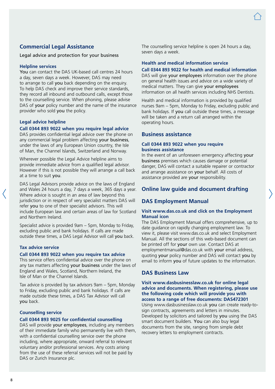# **Commercial Legal Assistance**

Legal advice and protection for your business

#### **Helpline services**

You can contact the DAS UK-based call centres 24 hours a day, seven days a week. However, DAS may need to arrange to call you back depending on the enquiry. To help DAS check and improve their service standards, they record all inbound and outbound calls, except those to the counselling service. When phoning, please advise DAS of your policy number and the name of the insurance provider who sold you the policy.

#### **Legal advice helpline**

#### **Call 0344 893 9022 when you require legal advice**

DAS provides confidential legal advice over the phone on any commercial legal problem affecting your business. under the laws of any European Union country, the Isle of Man, the Channel Islands, Switzerland and Norway.

Wherever possible the Legal Advice helpline aims to provide immediate advice from a qualified legal advisor. However if this is not possible they will arrange a call back at a time to suit you.

DAS Legal Advisors provide advice on the laws of England and Wales 24 hours a day, 7 days a week, 365 days a year. Where advice is sought in an area of law beyond this jurisdiction or in respect of very specialist matters DAS will refer you to one of their specialist advisors. This will include European law and certain areas of law for Scotland and Northern Ireland.

Specialist advice is provided 9am – 5pm, Monday to Friday, excluding public and bank holidays. If calls are made outside these times, a DAS Legal Advisor will call you back.

#### **Tax advice service**

#### **Call 0344 893 9022 when you require tax advice**

This service offers confidential advice over the phone on any tax matters affecting your business under the laws of England and Wales, Scotland, Northern Ireland, the Isle of Man or the Channel Islands.

Tax advice is provided by tax advisors 9am – 5pm, Monday to Friday, excluding public and bank holidays. If calls are made outside these times, a DAS Tax Advisor will call you back.

#### **Counselling service**

#### **Call 0344 893 9025 for confidential counselling**

DAS will provide your employees, including any members of their immediate family who permanently live with them, with a confidential counselling service over the phone including, where appropriate, onward referral to relevant voluntary and/or professional services. Any costs arising from the use of these referral services will not be paid by DAS or Zurich Insurance plc.

The counselling service helpline is open 24 hours a day, seven days a week.

# **Health and medical information service**

### **Call 0344 893 9022 for health and medical information**

DAS will give your employees information over the phone on general health issues and advice on a wide variety of medical matters. They can give your employees information on all health services including NHS Dentists.

Health and medical information is provided by qualified nurses 9am – 5pm, Monday to Friday, excluding public and bank holidays. If you call outside these times, a message will be taken and a return call arranged within the operating hours.

#### **Business assistance**

#### **Call 0344 893 9022 when you require business assistance**

In the event of an unforeseen emergency affecting your business premises which causes damage or potential danger, DAS will contact a suitable repairer or contractor and arrange assistance on your behalf. All costs of assistance provided are your responsibility.

#### **Online law guide and document drafting**

#### **DAS Employment Manual**

#### **Visit [www.das.co.uk](http://www.das.co.uk) and click on the Employment Manual icon**

The DAS Employment Manual offers comprehensive, up to date guidance on rapidly changing employment law. To view it, please visit [www.das.co.uk](http://www.das.co.uk) and select Employment Manual. All the sections of this web-based document can be printed off for your own use. Contact DAS at [employmentmanual@das.co.uk](mailto:employmentmanual@das.co.uk) with your email address, quoting your policy number and DAS will contact you by email to inform you of future updates to the information.

# **DAS Business Law**

**Visit [www.dasbusinesslaw.co.uk](http://www.dasbusinesslaw.co.uk) for online legal advice and documents. When registering, please use the following code which will provide you with access to a range of free documents: DAS472301**

Using [www.dasbusinesslaw.co.uk](http://www.dasbusinesslaw.co.uk) you can create ready-tosign contracts, agreements and letters in minutes. Developed by solicitors and tailored by you using the DAS smart document builders. You can also buy legal documents from the site, ranging from simple debt recovery letters to employment contracts.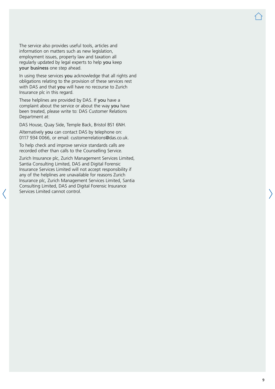The service also provides useful tools, articles and information on matters such as new legislation, employment issues, property law and taxation all regularly updated by legal experts to help you keep your business one step ahead.

In using these services you acknowledge that all rights and obligations relating to the provision of these services rest with DAS and that you will have no recourse to Zurich Insurance plc in this regard.

These helplines are provided by DAS. If you have a complaint about the service or about the way you have been treated, please write to: DAS Customer Relations Department at:

DAS House, Quay Side, Temple Back, Bristol BS1 6NH.

Alternatively you can contact DAS by telephone on: 0117 934 0066, or email: [customerrelations@das.co.uk](mailto:customerrelations@das.co.uk).

To help check and improve service standards calls are recorded other than calls to the Counselling Service.

Zurich Insurance plc, Zurich Management Services Limited, Santia Consulting Limited, DAS and Digital Forensic Insurance Services Limited will not accept responsibility if any of the helplines are unavailable for reasons Zurich Insurance plc, Zurich Management Services Limited, Santia Consulting Limited, DAS and Digital Forensic Insurance Services Limited cannot control.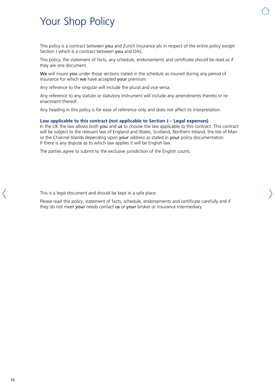# <span id="page-9-0"></span>Your Shop Policy

This policy is a contract between you and Zurich Insurance plc in respect of the entire policy except Section J which is a contract between you and DAS.

This policy, the statement of facts, any schedule, endorsements and certificate should be read as if they are one document.

We will insure you under those sections stated in the schedule as insured during any period of insurance for which we have accepted your premium.

Any reference to the singular will include the plural and vice versa.

Any reference to any statute or statutory instrument will include any amendments thereto or reenactment thereof.

Any heading in this policy is for ease of reference only and does not affect its interpretation.

#### **Law applicable to this contract (not applicable to Section J – Legal expenses)**

In the UK the law allows both you and us to choose the law applicable to this contract. This contract will be subject to the relevant law of England and Wales, Scotland, Northern Ireland, the Isle of Man or the Channel Islands depending upon your address as stated in your policy documentation. If there is any dispute as to which law applies it will be English law.

The parties agree to submit to the exclusive jurisdiction of the English courts.

This is a legal document and should be kept in a safe place.

Please read this policy, statement of facts, schedule, endorsements and certificate carefully and if they do not meet your needs contact us or your broker or insurance intermediary.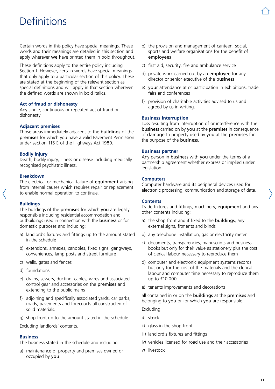# <span id="page-10-0"></span>**Definitions**

Certain words in this policy have special meanings. These words and their meanings are detailed in this section and apply wherever we have printed them in bold throughout.

These definitions apply to the entire policy including Section J. However, certain words have special meanings that only apply to a particular section of this policy. These are stated at the beginning of the relevant section as special definitions and will apply in that section wherever the defined words are shown in bold italics.

#### **Act of fraud or dishonesty**

Any single, continuous or repeated act of fraud or dishonesty.

#### **Adjacent premises**

Those areas immediately adjacent to the buildings of the premises for which you have a valid Pavement Permission under section 115 E of the Highways Act 1980.

#### **Bodily injury**

Death, bodily injury, illness or disease including medically recognised psychiatric illness.

#### **Breakdown**

The electrical or mechanical failure of equipment arising from internal causes which requires repair or replacement to enable normal operation to continue.

#### **Buildings**

The buildings of the premises for which you are legally responsible including residential accommodation and outbuildings used in connection with the business or for domestic purposes and including:

- a) landlord's fixtures and fittings up to the amount stated in the schedule
- b) extensions, annexes, canopies, fixed signs, gangways, conveniences, lamp posts and street furniture
- c) walls, gates and fences
- d) foundations
- e) drains, sewers, ducting, cables, wires and associated control gear and accessories on the premises and extending to the public mains
- f) adjoining and specifically associated yards, car parks, roads, pavements and forecourts all constructed of solid materials.
- g) shop front up to the amount stated in the schedule.

Excluding landlords' contents.

#### **Business**

The business stated in the schedule and including:

a) maintenance of property and premises owned or occupied by you

- b) the provision and management of canteen, social, sports and welfare organisations for the benefit of employees
- c) first aid, security, fire and ambulance service
- d) private work carried out by an employee for any director or senior executive of the business
- e) your attendance at or participation in exhibitions, trade fairs and conferences
- f) provision of charitable activities advised to us and agreed by us in writing.

#### **Business interruption**

Loss resulting from interruption of or interference with the business carried on by you at the premises in consequence of damage to property used by you at the premises for the purpose of the business.

#### **Business partner**

Any person in business with you under the terms of a partnership agreement whether express or implied under legislation.

#### **Computers**

Computer hardware and its peripheral devices used for electronic processing, communication and storage of data.

#### **Contents**

Trade fixtures and fittings, machinery, equipment and any other contents including:

- a) the shop front and if fixed to the buildings, any external signs, fitments and blinds
- b) any telephone installation, gas or electricity meter
- c) documents, transparencies, manuscripts and business books but only for their value as stationery plus the cost of clerical labour necessary to reproduce them
- d) computer and electronic equipment systems records but only for the cost of the materials and the clerical labour and computer time necessary to reproduce them up to £10,000
- e) tenants improvements and decorations

all contained in or on the buildings at the premises and belonging to you or for which you are responsible.

Excluding:

- i) stock
- ii) glass in the shop front
- iii) landlord's fixtures and fittings
- iv) vehicles licensed for road use and their accessories
- v) livestock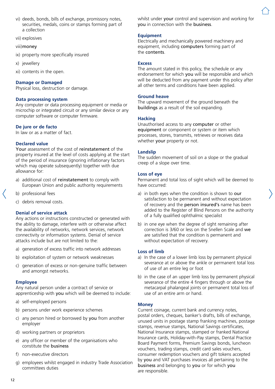vi) deeds, bonds, bills of exchange, promissory notes, securities, medals, coins or stamps forming part of a collection

vii) explosives

#### viii)money

- ix) property more specifically insured
- x) jewellery
- xi) contents in the open.

#### **Damage or Damaged**

Physical loss, destruction or damage.

### **Data processing system**

Any computer or data processing equipment or media or microchip or integrated circuit or any similar device or any computer software or computer firmware.

#### **De jure or de facto**

In law or as a matter of fact.

#### **Declared value**

Your assessment of the cost of reinstatement of the property insured at the level of costs applying at the start of the period of insurance (ignoring inflationary factors which may operate subsequently) together with due allowance for:

- a) additional cost of reinstatement to comply with European Union and public authority requirements
- b) professional fees
- c) debris removal costs.

#### **Denial of service attack**

Any actions or instructions constructed or generated with the ability to damage, interfere with or otherwise affect the availability of networks, network services, network connectivity or information systems. Denial of service attacks include but are not limited to the:

- a) generation of excess traffic into network addresses
- b) exploitation of system or network weaknesses
- c) generation of excess or non-genuine traffic between and amongst networks.

#### **Employee**

Any natural person under a contract of service or apprenticeship with you which will be deemed to include:

- a) self-employed persons
- b) persons under work experience schemes
- c) any person hired or borrowed by you from another employer
- d) working partners or proprietors
- e) any officer or member of the organisations who constitute the business
- f) non-executive directors
- g) employees whilst engaged in industry Trade Association committees duties

whilst under your control and supervision and working for you in connection with the business.

#### **Equipment**

Electrically and mechanically powered machinery and equipment, including computers forming part of the contents.

#### **Excess**

The amount stated in this policy, the schedule or any endorsement for which you will be responsible and which will be deducted from any payment under this policy after all other terms and conditions have been applied.

#### **Ground heave**

The upward movement of the ground beneath the buildings as a result of the soil expanding.

#### **Hacking**

Unauthorised access to any computer or other equipment or component or system or item which processes, stores, transmits, retrieves or receives data whether your property or not.

#### **Landslip**

The sudden movement of soil on a slope or the gradual creep of a slope over time.

#### **Loss of eye**

Permanent and total loss of sight which will be deemed to have occurred:

- a) in both eyes when the condition is shown to our satisfaction to be permanent and without expectation of recovery and the person insured's name has been added to the Register of Blind Persons on the authority of a fully qualified ophthalmic specialist
- b) in one eye when the degree of sight remaining after correction is 3/60 or less on the Snellen Scale and we are satisfied that the condition is permanent and without expectation of recovery.

#### **Loss of limb**

- a) In the case of a lower limb loss by permanent physical severance at or above the ankle or permanent total loss of use of an entire leg or foot
- b) in the case of an upper limb loss by permanent physical severance of the entire 4 fingers through or above the metacarpal phalangeal joints or permanent total loss of use of an entire arm or hand.

#### **Money**

Current coinage, current bank and currency notes, postal orders, cheques, banker's drafts, bills of exchange, unused units in postage stamp franking machines, postage stamps, revenue stamps, National Savings certificates, National Insurance stamps, stamped or franked National Insurance cards, Holiday-with-Pay stamps, Dental Practice Board Payment forms, Premium Savings bonds, luncheon vouchers, trading stamps, credit card sales vouchers, consumer redemption vouchers and gift tokens accepted by you and VAT purchases invoices all pertaining to the business and belonging to you or for which you are responsible.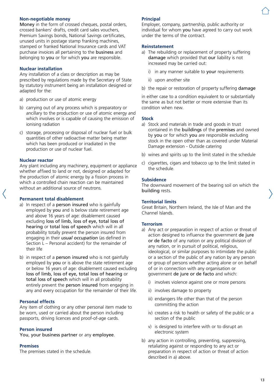#### **Non-negotiable money**

Money in the form of crossed cheques, postal orders, crossed bankers' drafts, credit card sales vouchers, Premium Savings bonds, National Savings certificates, unused units in postage stamp franking machines, stamped or franked National Insurance cards and VAT purchase invoices all pertaining to the business and belonging to you or for which you are responsible.

#### **Nuclear installation**

Any installation of a class or description as may be prescribed by regulations made by the Secretary of State by statutory instrument being an installation designed or adapted for the:

- a) production or use of atomic energy
- b) carrying out of any process which is preparatory or ancillary to the production or use of atomic energy and which involves or is capable of causing the emission of ionising radiation
- c) storage, processing or disposal of nuclear fuel or bulk quantities of other radioactive matter being matter which has been produced or irradiated in the production or use of nuclear fuel.

#### **Nuclear reactor**

Any plant including any machinery, equipment or appliance whether affixed to land or not, designed or adapted for the production of atomic energy by a fission process in which a controlled chain reaction can be maintained without an additional source of neutrons.

#### **Permanent total disablement**

- a) In respect of a person insured who is gainfully employed by you and is below state retirement age and above 16 years of age: disablement caused excluding loss of limb, loss of eye, total loss of hearing or total loss of speech which will in all probability totally prevent the person insured from engaging in their *usual occupation* (as defined in Section L – Personal accident) for the remainder of their life
- b) in respect of a **person insured** who is not gainfully employed by you or is above the state retirement age or below 16 years of age: disablement caused excluding loss of limb, loss of eye, total loss of hearing or total loss of speech which will in all probability entirely prevent the person insured from engaging in any and every occupation for the remainder of their life.

#### **Personal effects**

Any item of clothing or any other personal item made to be worn, used or carried about the person including passports, driving licences and proof-of-age cards.

#### **Person insured**

You, your business partner or any employee.

#### **Premises**

The premises stated in the schedule.

#### **Principal**

Employer, company, partnership, public authority or individual for whom you have agreed to carry out work under the terms of the contract.

#### **Reinstatement**

- a) The rebuilding or replacement of property suffering damage which provided that our liability is not increased may be carried out:
	- i) in any manner suitable to your requirements
	- ii) upon another site
- b) the repair or restoration of property suffering damage

in either case to a condition equivalent to or substantially the same as but not better or more extensive than its condition when new.

#### **Stock**

- a) Stock and materials in trade and goods in trust contained in the buildings of the premises and owned by you or for which you are responsible excluding stock in the open other than as covered under Material Damage extension - Outside catering
- b) wines and spirits up to the limit stated in the schedule
- c) cigarettes, cigars and tobacco up to the limit stated in the schedule.

#### **Subsidence**

The downward movement of the bearing soil on which the building rests.

#### **Territorial limits**

Great Britain, Northern Ireland, the Isle of Man and the Channel Islands.

#### **Terrorism**

- a) Any act or preparation in respect of action or threat of action designed to influence the government de jure or de facto of any nation or any political division of any nation, or in pursuit of political, religious, ideological, or similar purposes to intimidate the public or a section of the public of any nation by any person or group of persons whether acting alone or on behalf of or in connection with any organisation or government de jure or de facto and which:
	- i) involves violence against one or more persons
	- ii) involves damage to property
	- iii) endangers life other than that of the person committing the action
	- iv) creates a risk to health or safety of the public or a section of the public
	- v) is designed to interfere with or to disrupt an electronic system
- b) any action in controlling, preventing, suppressing, retaliating against or responding to any act or preparation in respect of action or threat of action described in a) above.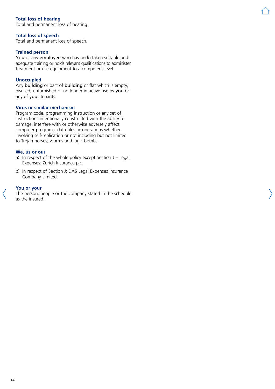# **Total loss of hearing**

Total and permanent loss of hearing.

#### **Total loss of speech**

Total and permanent loss of speech.

#### **Trained person**

You or any employee who has undertaken suitable and adequate training or holds relevant qualifications to administer treatment or use equipment to a competent level.

#### **Unoccupied**

Any building or part of building or flat which is empty, disused, unfurnished or no longer in active use by you or any of your tenants.

#### **Virus or similar mechanism**

Program code, programming instruction or any set of instructions intentionally constructed with the ability to damage, interfere with or otherwise adversely affect computer programs, data files or operations whether involving self-replication or not including but not limited to Trojan horses, worms and logic bombs.

#### **We, us or our**

- a) In respect of the whole policy except Section J Legal Expenses: Zurich Insurance plc.
- b) In respect of Section J: DAS Legal Expenses Insurance Company Limited.

#### **You or your**

The person, people or the company stated in the schedule as the insured.

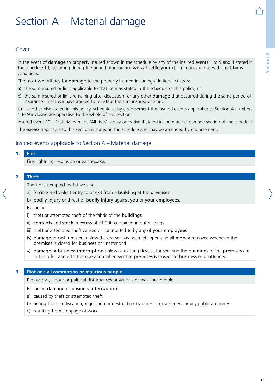# **Section A** Section

# <span id="page-14-0"></span>Section A – Material damage

# Cover

In the event of **damage** to property insured shown in the schedule by any of the insured events 1 to 9 and if stated in the schedule 10, occurring during the period of insurance we will settle your claim in accordance with the Claims conditions.

The most we will pay for damage to the property insured including additional costs is:

- a) the sum insured or limit applicable to that item as stated in the schedule or this policy; or
- b) the sum insured or limit remaining after deduction for any other damage that occurred during the same period of insurance unless we have agreed to reinstate the sum insured or limit.

Unless otherwise stated in this policy, schedule or by endorsement the Insured events applicable to Section A numbers 1 to 9 inclusive are operative to the whole of this section.

Insured event 10 – Material damage 'All risks' is only operative if stated in the material damage section of the schedule.

The excess applicable to this section is stated in the schedule and may be amended by endorsement.

# Insured events applicable to Section A – Material damage

#### 1. **Fire**

Fire, lightning, explosion or earthquake.

#### 2. **Theft**

Theft or attempted theft involving:

- a) forcible and violent entry to or exit from a building at the premises
- b) bodily injury or threat of bodily injury against you or your employees.

Excluding:

- i) theft or attempted theft of the fabric of the buildings
- ii) contents and stock in excess of £1,000 contained in outbuildings
- iii) theft or attempted theft caused or contributed to by any of your employees
- iv) damage to cash registers unless the drawer has been left open and all money removed whenever the premises is closed for business or unattended
- v) damage or business interruption unless all existing devices for securing the buildings of the premises are put into full and effective operation whenever the premises is closed for business or unattended.

#### 3. **Riot or civil commotion or malicious people**

Riot or civil, labour or political disturbances or vandals or malicious people.

#### Excluding damage or business interruption:

- a) caused by theft or attempted theft
- b) arising from confiscation, requisition or destruction by order of government or any public authority
- c) resulting from stoppage of work.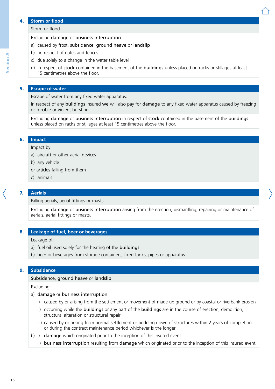#### 4. **Storm or flood**

#### Excluding damage or business interruption:

- a) caused by frost, subsidence, ground heave or landslip
- b) in respect of gates and fences
- c) due solely to a change in the water table level
- d) in respect of stock contained in the basement of the buildings unless placed on racks or stillages at least 15 centimetres above the floor.

#### 5. **Escape of water**

Escape of water from any fixed water apparatus.

In respect of any buildings insured we will also pay for damage to any fixed water apparatus caused by freezing or forcible or violent bursting.

Excluding damage or business interruption in respect of stock contained in the basement of the buildings unless placed on racks or stillages at least 15 centimetres above the floor.

### 6. **Impact**

#### Impact by:

- a) aircraft or other aerial devices
- b) any vehicle
- or articles falling from them
- c) animals.

#### 7. **Aerials**

Falling aerials, aerial fittings or masts.

Excluding damage or business interruption arising from the erection, dismantling, repairing or maintenance of aerials, aerial fittings or masts.

#### 8. **Leakage of fuel, beer or beverages**

Leakage of:

- a) fuel oil used solely for the heating of the buildings
- b) beer or beverages from storage containers, fixed tanks, pipes or apparatus.

#### 9. **Subsidence**

#### Subsidence, ground heave or landslip.

Excluding:

#### a) damage or business interruption:

- i) caused by or arising from the settlement or movement of made up ground or by coastal or riverbank erosion
- ii) occurring while the buildings or any part of the buildings are in the course of erection, demolition, structural alteration or structural repair
- iii) caused by or arising from normal settlement or bedding down of structures within 2 years of completion or during the contract maintenance period whichever is the longer
- b) i) damage which originated prior to the inception of this Insured event
	- ii) business interruption resulting from damage which originated prior to the inception of this Insured event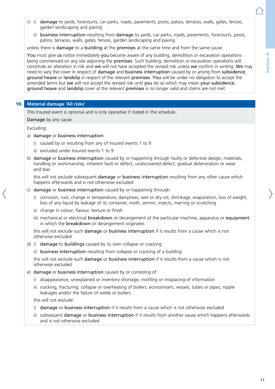- c) i) damage to yards, forecourts, car parks, roads, pavements, posts, patios, terraces, walls, gates, fences, garden landscaping and paving
	- ii) business interruption resulting from damage to vards, car parks, roads, pavements, forecourts, posts, patios, terraces, walls, gates, fences, garden landscaping and paving

unless there is damage to a building at the premises at the same time and from the same cause.

You must give us notice immediately you become aware of any building, demolition or excavation operations being commenced on any site adjoining the **premises**. Such building, demolition or excavation operations will constitute an alteration in risk and we will not have accepted the revised risk unless we confirm in writing. We may need to vary the cover in respect of damage and business interruption caused by or arising from subsidence, ground heave or landslip in respect of the relevant premises. You will be under no obligation to accept the amended terms but we will not accept the revised risk until you do so which may mean your subsidence, ground heave and landslip cover at the relevant premises is no longer valid and claims are not met.

# 10. **Material damage 'All risks'**

This Insured event is optional and is only operative if stated in the schedule.

Damage by any cause.

Excluding:

- a) damage or business interruption:
	- i) caused by or resulting from any of Insured events 1 to 9
	- ii) excluded under Insured events 1 to 9
- b) damage or business interruption caused by or happening through faulty or defective design, materials, handling or workmanship, inherent fault or defect, undiscovered defect, gradual deterioration or wear and tear

this will not exclude subsequent **damage** or **business interruption** resulting from any other cause which happens afterwards and is not otherwise excluded

- c) damage or business interruption caused by or happening through:
	- i) corrosion, rust, change in temperature, dampness, wet or dry rot, shrinkage, evaporation, loss of weight, loss of any liquid by leakage of its container, moth, vermin, insects, marring or scratching
	- ii) change in colour, flavour, texture or finish
	- iii) mechanical or electrical **breakdown** or derangement of the particular machine, apparatus or equipment in which the breakdown or derangement originates

this will not exclude such damage or business interruption if it results from a cause which is not otherwise excluded

- d) i) damage to buildings caused by its own collapse or cracking
	- ii) business interruption resulting from collapse or cracking of a building

this will not exclude such damage or business interruption if it results from a cause which is not otherwise excluded

- e) damage or business interruption caused by or consisting of:
	- i) disappearance, unexplained or inventory shortage, misfiling or misplacing of information
	- ii) cracking, fracturing, collapse or overheating of boilers, economisers, vessels, tubes or pipes, nipple leakages and/or the failure of welds or boilers

this will not exclude:

- i) damage or business interruption if it results from a cause which is not otherwise excluded
- ii) subsequent damage or business interruption if it results from another cause which happens afterwards and is not otherwise excluded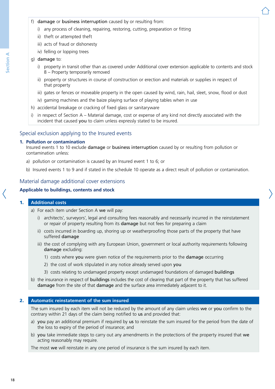- f) damage or business interruption caused by or resulting from:
	- i) any process of cleaning, repairing, restoring, cutting, preparation or fitting
	- ii) theft or attempted theft
	- iii) acts of fraud or dishonesty
	- iv) felling or lopping trees

#### g) damage to:

- i) property in transit other than as covered under Additional cover extension applicable to contents and stock 8 – Property temporarily removed
- ii) property or structures in course of construction or erection and materials or supplies in respect of that property
- iii) gates or fences or moveable property in the open caused by wind, rain, hail, sleet, snow, flood or dust
- iv) gaming machines and the baize playing surface of playing tables when in use
- h) accidental breakage or cracking of fixed glass or sanitaryware
- i) in respect of Section A Material damage, cost or expense of any kind not directly associated with the incident that caused you to claim unless expressly stated to be insured.

# Special exclusion applying to the Insured events

#### **1. Pollution or contamination**

Insured events 1 to 10 exclude damage or business interruption caused by or resulting from pollution or contamination unless:

- a) pollution or contamination is caused by an Insured event 1 to 6; or
- b) Insured events 1 to 9 and if stated in the schedule 10 operate as a direct result of pollution or contamination.

# Material damage additional cover extensions

#### **Applicable to buildings, contents and stock**

#### 1. **Additional costs**

- a) For each item under Section A we will pay:
	- i) architects', surveyors', legal and consulting fees reasonably and necessarily incurred in the reinstatement or repair of property resulting from its damage but not fees for preparing a claim
	- ii) costs incurred in boarding up, shoring up or weatherproofing those parts of the property that have suffered damage
	- iii) the cost of complying with any European Union, government or local authority requirements following damage excluding:
		- 1) costs where you were given notice of the requirements prior to the damage occurring
		- 2) the cost of work stipulated in any notice already served upon you
		- 3) costs relating to undamaged property except undamaged foundations of damaged buildings
- b) the insurance in respect of buildings includes the cost of clearing that part of the property that has suffered damage from the site of that damage and the surface area immediately adjacent to it.

### 2. **Automatic reinstatement of the sum insured**

The sum insured by each item will not be reduced by the amount of any claim unless we or you confirm to the contrary within 21 days of the claim being notified to us and provided that:

- a) you pay an additional premium if required by us to reinstate the sum insured for the period from the date of the loss to expiry of the period of insurance; and
- b) you take immediate steps to carry out any amendments in the protections of the property insured that we acting reasonably may require.

The most we will reinstate in any one period of insurance is the sum insured by each item.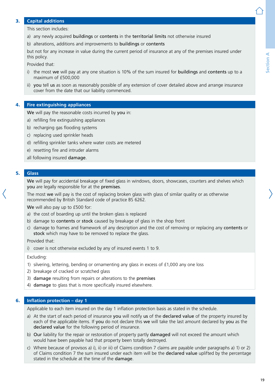# Section A **Section A**

# 3. **Capital additions**

This section includes:

- a) any newly acquired buildings or contents in the territorial limits not otherwise insured
- b) alterations, additions and improvements to buildings or contents

but not for any increase in value during the current period of insurance at any of the premises insured under this policy.

Provided that:

- i) the most we will pay at any one situation is 10% of the sum insured for **buildings** and **contents** up to a maximum of £500,000
- ii) you tell us as soon as reasonably possible of any extension of cover detailed above and arrange insurance cover from the date that our liability commenced.

#### 4. **Fire extinguishing appliances**

We will pay the reasonable costs incurred by you in:

- a) refilling fire extinguishing appliances
- b) recharging gas flooding systems
- c) replacing used sprinkler heads
- d) refilling sprinkler tanks where water costs are metered
- e) resetting fire and intruder alarms
- all following insured damage.

#### 5. **Glass**

We will pay for accidental breakage of fixed glass in windows, doors, showcases, counters and shelves which you are legally responsible for at the premises.

The most we will pay is the cost of replacing broken glass with glass of similar quality or as otherwise recommended by British Standard code of practice BS 6262.

We will also pay up to £500 for:

- a) the cost of boarding up until the broken glass is replaced
- b) damage to contents or stock caused by breakage of glass in the shop front
- c) damage to frames and framework of any description and the cost of removing or replacing any contents or stock which may have to be removed to replace the glass.

Provided that:

i) cover is not otherwise excluded by any of insured events 1 to 9.

Excluding:

- 1) silvering, lettering, bending or ornamenting any glass in excess of £1,000 any one loss
- 2) breakage of cracked or scratched glass
- 3) damage resulting from repairs or alterations to the premises
- 4) damage to glass that is more specifically insured elsewhere.

#### 6. **Inflation protection – day 1**

Applicable to each item insured on the day 1 inflation protection basis as stated in the schedule.

- a) At the start of each period of insurance you will notify us of the declared value of the property insured by each of the applicable items. If you do not declare this we will take the last amount declared by you as the declared value for the following period of insurance.
- b) Our liability for the repair or restoration of property partly **damaged** will not exceed the amount which would have been payable had that property been totally destroyed.
- c) Where because of provisos a) i), ii) or iii) of Claims condition 7 claims are payable under paragraphs a) 1) or 2) of Claims condition 7 the sum insured under each item will be the declared value uplifted by the percentage stated in the schedule at the time of the damage.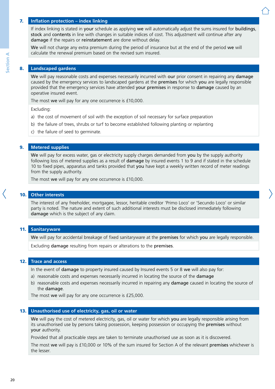### 7. **Inflation protection – index linking**

If index linking is stated in your schedule as applying we will automatically adjust the sums insured for buildings, stock and contents in line with changes in suitable indices of cost. This adjustment will continue after any damage if the repairs or reinstatement are done without delay.

We will not charge any extra premium during the period of insurance but at the end of the period we will calculate the renewal premium based on the revised sum insured.

#### 8. **Landscaped gardens**

We will pay reasonable costs and expenses necessarily incurred with our prior consent in repairing any damage caused by the emergency services to landscaped gardens at the premises for which you are legally responsible provided that the emergency services have attended your premises in response to damage caused by an operative insured event.

The most we will pay for any one occurrence is £10,000.

Excluding:

- a) the cost of movement of soil with the exception of soil necessary for surface preparation
- b) the failure of trees, shrubs or turf to become established following planting or replanting
- c) the failure of seed to germinate.

#### 9. **Metered supplies**

We will pay for excess water, gas or electricity supply charges demanded from you by the supply authority following loss of metered supplies as a result of damage by insured events 1 to 9 and if stated in the schedule 10 to fixed pipes, apparatus and tanks provided that you have kept a weekly written record of meter readings from the supply authority.

The most we will pay for any one occurrence is £10,000.

### 10. **Other interests**

The interest of any freeholder, mortgagee, lessor, heritable creditor 'Primo Loco' or 'Secundo Loco' or similar party is noted. The nature and extent of such additional interests must be disclosed immediately following damage which is the subject of any claim.

#### 11. **Sanitaryware**

We will pay for accidental breakage of fixed sanitaryware at the premises for which you are legally responsible.

Excluding damage resulting from repairs or alterations to the premises.

#### 12. **Trace and access**

In the event of damage to property insured caused by Insured events 5 or 8 we will also pay for:

- a) reasonable costs and expenses necessarily incurred in locating the source of the **damage**
- b) reasonable costs and expenses necessarily incurred in repairing any damage caused in locating the source of the damage.

The most we will pay for any one occurrence is £25,000.

#### 13. **Unauthorised use of electricity, gas, oil or water**

We will pay the cost of metered electricity, gas, oil or water for which you are legally responsible arising from its unauthorised use by persons taking possession, keeping possession or occupying the premises without your authority.

Provided that all practicable steps are taken to terminate unauthorised use as soon as it is discovered.

The most we will pay is £10,000 or 10% of the sum insured for Section A of the relevant premises whichever is the lesser.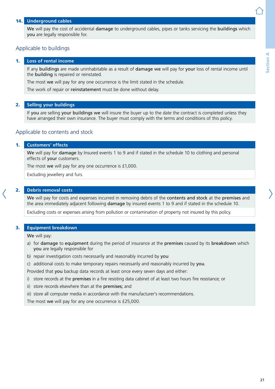# 14. **Underground cables**

We will pay the cost of accidental damage to underground cables, pipes or tanks servicing the buildings which you are legally responsible for.

# Applicable to buildings

#### 1. **Loss of rental income**

If any buildings are made uninhabitable as a result of damage we will pay for your loss of rental income until the building is repaired or reinstated.

The most we will pay for any one occurrence is the limit stated in the schedule.

The work of repair or reinstatement must be done without delay.

#### 2. **Selling your buildings**

If you are selling your buildings we will insure the buyer up to the date the contract is completed unless they have arranged their own insurance. The buyer must comply with the terms and conditions of this policy.

# Applicable to contents and stock

#### 1. **Customers' effects**

We will pay for damage by Insured events 1 to 9 and if stated in the schedule 10 to clothing and personal effects of your customers.

The most we will pay for any one occurrence is £1,000.

Excluding jewellery and furs.

#### 2. **Debris removal costs**

We will pay for costs and expenses incurred in removing debris of the contents and stock at the premises and the area immediately adjacent following damage by insured events 1 to 9 and if stated in the schedule 10.

Excluding costs or expenses arising from pollution or contamination of property not insured by this policy.

#### 3. **Equipment breakdown**

We will pay:

- a) for damage to equipment during the period of insurance at the premises caused by its breakdown which you are legally responsible for
- b) repair investigation costs necessarily and reasonably incurred by you
- c) additional costs to make temporary repairs necessarily and reasonably incurred by you.

Provided that you backup data records at least once every seven days and either:

- i) store records at the premises in a fire resisting data cabinet of at least two hours fire resistance; or
- ii) store records elsewhere than at the premises; and
- iii) store all computer media in accordance with the manufacturer's recommendations.

The most we will pay for any one occurrence is £25,000.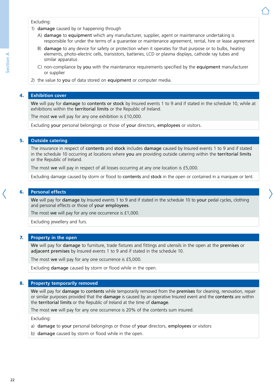#### Excluding:

- 1) damage caused by or happening through
	- A) damage to equipment which any manufacturer, supplier, agent or maintenance undertaking is responsible for under the terms of a guarantee or maintenance agreement, rental, hire or lease agreement
	- B) damage to any device for safety or protection when it operates for that purpose or to bulbs, heating elements, photo-electric cells, transistors, batteries, LCD or plasma displays, cathode ray tubes and similar apparatus
	- C) non-compliance by you with the maintenance requirements specified by the equipment manufacturer or supplier
- 2) the value to you of data stored on equipment or computer media.

# 4. **Exhibition cover**

We will pay for damage to contents or stock by Insured events 1 to 9 and if stated in the schedule 10, while at exhibitions within the territorial limits or the Republic of Ireland.

The most we will pay for any one exhibition is £10,000.

Excluding your personal belongings or those of your directors, employees or visitors.

# 5. **Outside catering**

The insurance in respect of contents and stock includes damage caused by Insured events 1 to 9 and if stated in the schedule 10 occurring at locations where you are providing outside catering within the territorial limits or the Republic of Ireland.

The most we will pay in respect of all losses occurring at any one location is £5,000.

Excluding damage caused by storm or flood to contents and stock in the open or contained in a marquee or tent.

# 6. **Personal effects**

We will pay for damage by Insured events 1 to 9 and if stated in the schedule 10 to your pedal cycles, clothing and personal effects or those of your employees.

The most we will pay for any one occurrence is £1,000.

Excluding jewellery and furs.

# 7. **Property in the open**

We will pay for damage to furniture, trade fixtures and fittings and utensils in the open at the premises or adjacent premises by Insured events 1 to 9 and if stated in the schedule 10.

The most we will pay for any one occurrence is £5,000.

Excluding damage caused by storm or flood while in the open.

# 8. **Property temporarily removed**

We will pay for damage to contents while temporarily removed from the premises for cleaning, renovation, repair or similar purposes provided that the **damage** is caused by an operative Insured event and the **contents** are within the territorial limits or the Republic of Ireland at the time of damage.

The most we will pay for any one occurrence is 20% of the contents sum insured.

Excluding:

- a) damage to your personal belongings or those of your directors, employees or visitors
- b) damage caused by storm or flood while in the open.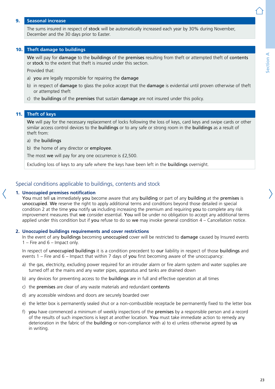### 9. **Seasonal increase**

The sums insured in respect of stock will be automatically increased each year by 30% during November, December and the 30 days prior to Easter.

#### 10. **Theft damage to buildings**

We will pay for damage to the buildings of the premises resulting from theft or attempted theft of contents or stock to the extent that theft is insured under this section.

Provided that:

- a) you are legally responsible for repairing the damage
- b) in respect of **damage** to glass the police accept that the **damage** is evidential until proven otherwise of theft or attempted theft
- c) the buildings of the premises that sustain damage are not insured under this policy.

#### 11. **Theft of keys**

We will pay for the necessary replacement of locks following the loss of keys, card keys and swipe cards or other similar access control devices to the **buildings** or to any safe or strong room in the **buildings** as a result of theft from:

#### a) the buildings

b) the home of any director or employee.

The most we will pay for any one occurrence is £2,500.

Excluding loss of keys to any safe where the keys have been left in the buildings overnight.

### Special conditions applicable to buildings, contents and stock

#### **1. Unoccupied premises notification**

You must tell us immediately you become aware that any building or part of any building at the premises is unoccupied. We reserve the right to apply additional terms and conditions beyond those detailed in special condition 2 at the time you notify us including increasing the premium and requiring you to complete any risk improvement measures that we consider essential. You will be under no obligation to accept any additional terms applied under this condition but if you refuse to do so we may invoke general condition  $4$  – Cancellation notice.

#### **2. Unoccupied buildings requirements and cover restrictions**

In the event of any buildings becoming unoccupied cover will be restricted to damage caused by Insured events 1 – Fire and  $6$  – Impact only.

In respect of unoccupied buildings it is a condition precedent to our liability in respect of those buildings and events  $1 -$  Fire and  $6 -$  Impact that within 7 days of you first becoming aware of the unoccupancy:

- a) the gas, electricity, excluding power required for an intruder alarm or fire alarm system and water supplies are turned off at the mains and any water pipes, apparatus and tanks are drained down
- b) any devices for preventing access to the buildings are in full and effective operation at all times
- c) the premises are clear of any waste materials and redundant contents
- d) any accessible windows and doors are securely boarded over
- e) the letter box is permanently sealed shut or a non-combustible receptacle be permanently fixed to the letter box
- f) you have commenced a minimum of weekly inspections of the premises by a responsible person and a record of the results of such inspections is kept at another location. You must take immediate action to remedy any deterioration in the fabric of the building or non-compliance with a) to e) unless otherwise agreed by us in writing.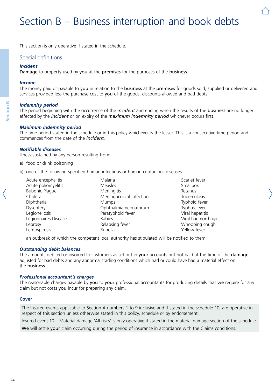# <span id="page-23-0"></span>Section B – Business interruption and book debts

This section is only operative if stated in the schedule.

# Special definitions

#### *Incident*

Damage to property used by you at the premises for the purposes of the business.

#### *Income*

The money paid or payable to you in relation to the business at the premises for goods sold, supplied or delivered and services provided less the purchase cost to you of the goods, discounts allowed and bad debts.

#### *Indemnity period*

The period beginning with the occurrence of the *incident* and ending when the results of the business are no longer affected by the *incident* or on expiry of the *maximum indemnity period* whichever occurs first.

#### *Maximum indemnity period*

The time period stated in the schedule or in this policy whichever is the lesser. This is a consecutive time period and commences from the date of the *incident*.

### *Notifiable diseases*

Illness sustained by any person resulting from:

- a) food or drink poisoning
- b) one of the following specified human infectious or human contagious diseases:

| Acute encephalitis    | Malaria                 | Scarlet fever       |
|-----------------------|-------------------------|---------------------|
| Acute poliomyelitis   | <b>Measles</b>          | Smallpox            |
| <b>Bubonic Plague</b> | Meningitis              | Tetanus             |
| Cholera               | Meningococcal infection | <b>Tuberculosis</b> |
| Diphtheria            | <b>Mumps</b>            | Typhoid fever       |
| Dysentery             | Ophthalmia neonatorum   | Typhus fever        |
| Legionellosis         | Paratyphoid fever       | Viral hepatitis     |
| Legionnaires Disease  | Rabies                  | Viral haemorrhagic  |
| Leprosy               | Relapsing fever         | Whooping cough      |
| Leptospirosis         | Rubella                 | Yellow fever        |

an outbreak of which the competent local authority has stipulated will be notified to them.

#### *Outstanding debit balances*

The amounts debited or invoiced to customers as set out in your accounts but not paid at the time of the damage adjusted for bad debts and any abnormal trading conditions which had or could have had a material effect on the business.

#### *Professional accountant's charges*

The reasonable charges payable by you to your professional accountants for producing details that we require for any claim but not costs you incur for preparing any claim.

#### **Cover**

The Insured events applicable to Section A numbers 1 to 9 inclusive and if stated in the schedule 10, are operative in respect of this section unless otherwise stated in this policy, schedule or by endorsement.

Insured event 10 – Material damage 'All risks' is only operative if stated in the material damage section of the schedule.

We will settle your claim occurring during the period of insurance in accordance with the Claims conditions.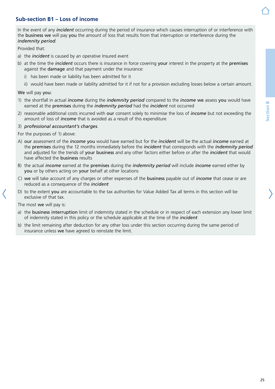# <span id="page-24-0"></span>**Sub-section B1 – Loss of income**

In the event of any *incident* occurring during the period of insurance which causes interruption of or interference with the business we will pay you the amount of loss that results from that interruption or interference during the *indemnity period*.

Provided that:

- a) the *incident* is caused by an operative Insured event
- b) at the time the *incident* occurs there is insurance in force covering your interest in the property at the premises against the damage and that payment under the insurance:
	- i) has been made or liability has been admitted for it
	- ii) would have been made or liability admitted for it if not for a provision excluding losses below a certain amount.

#### We will pay you:

- 1) the shortfall in actual *income* during the *indemnity period* compared to the *income* we assess you would have earned at the premises during the *indemnity period* had the *incident* not occurred
- 2) reasonable additional costs incurred with our consent solely to minimise the loss of *income* but not exceeding the amount of loss of *income* that is avoided as a result of this expenditure

#### 3) *professional accountant's charges*.

For the purposes of 1) above:

- A) our assessment of the *income* you would have earned but for the *incident* will be the actual *income* earned at the premises during the 12 months immediately before the *incident* that corresponds with the *indemnity period* and adjusted for the trends of your business and any other factors either before or after the *incident* that would have affected the business results
- B) the actual *income* earned at the premises during the *indemnity period* will include *income* earned either by you or by others acting on your behalf at other locations
- C) we will take account of any charges or other expenses of the business payable out of *income* that cease or are reduced as a consequence of the *incident*
- D) to the extent you are accountable to the tax authorities for Value Added Tax all terms in this section will be exclusive of that tax.

The most we will pay is:

- a) the business interruption limit of indemnity stated in the schedule or in respect of each extension any lower limit of indemnity stated in this policy or the schedule applicable at the time of the *incident*
- b) the limit remaining after deduction for any other loss under this section occurring during the same period of insurance unless we have agreed to reinstate the limit.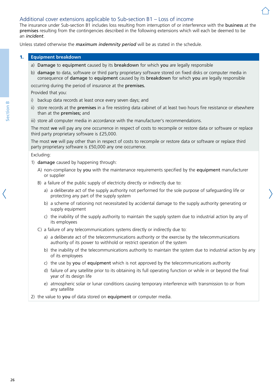# Additional cover extensions applicable to Sub-section B1 – Loss of income

The insurance under Sub-section B1 includes loss resulting from interruption of or interference with the business at the premises resulting from the contingencies described in the following extensions which will each be deemed to be an *incident*.

Unless stated otherwise the *maximum indemnity period* will be as stated in the schedule.

# 1. **Equipment breakdown**

- a) Damage to equipment caused by its breakdown for which you are legally responsible
- b) damage to data, software or third party proprietary software stored on fixed disks or computer media in consequence of damage to equipment caused by its breakdown for which you are legally responsible

occurring during the period of insurance at the premises.

Provided that you:

- i) backup data records at least once every seven days; and
- ii) store records at the **premises** in a fire resisting data cabinet of at least two hours fire resistance or elsewhere than at the premises; and

iii) store all computer media in accordance with the manufacturer's recommendations.

The most we will pay any one occurrence in respect of costs to recompile or restore data or software or replace third party proprietary software is £25,000.

The most we will pay other than in respect of costs to recompile or restore data or software or replace third party proprietary software is £50,000 any one occurrence.

#### Excluding:

- 1) damage caused by happening through:
	- A) non-compliance by you with the maintenance requirements specified by the equipment manufacturer or supplier
	- B) a failure of the public supply of electricity directly or indirectly due to:
		- a) a deliberate act of the supply authority not performed for the sole purpose of safeguarding life or protecting any part of the supply system
		- b) a scheme of rationing not necessitated by accidental damage to the supply authority generating or supply equipment
		- c) the inability of the supply authority to maintain the supply system due to industrial action by any of its employees
	- C) a failure of any telecommunications systems directly or indirectly due to:
		- a) a deliberate act of the telecommunications authority or the exercise by the telecommunications authority of its power to withhold or restrict operation of the system
		- b) the inability of the telecommunications authority to maintain the system due to industrial action by any of its employees
		- c) the use by you of equipment which is not approved by the telecommunications authority
		- d) failure of any satellite prior to its obtaining its full operating function or while in or beyond the final year of its design life
		- e) atmospheric solar or lunar conditions causing temporary interference with transmission to or from any satellite
- 2) the value to you of data stored on equipment or computer media.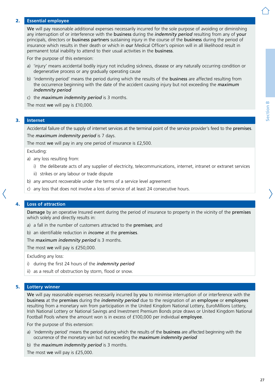# 2. **Essential employee**

We will pay reasonable additional expenses necessarily incurred for the sole purpose of avoiding or diminishing any interruption of or interference with the business during the *indemnity period* resulting from any of your principals, directors or business partners sustaining injury in the course of the business during the period of insurance which results in their death or which in our Medical Officer's opinion will in all likelihood result in permanent total inability to attend to their usual activities in the business.

For the purpose of this extension:

- a) 'injury' means accidental bodily injury not including sickness, disease or any naturally occurring condition or degenerative process or any gradually operating cause
- b) 'indemnity period' means the period during which the results of the **business** are affected resulting from the occurrence beginning with the date of the accident causing injury but not exceeding the *maximum indemnity period*
- c) the *maximum indemnity period* is 3 months.

The most we will pay is £10,000.

### 3. **Internet**

Accidental failure of the supply of internet services at the terminal point of the service provider's feed to the premises. The *maximum indemnity period* is 7 days.

The most we will pay in any one period of insurance is £2,500.

Excluding:

- a) any loss resulting from:
	- i) the deliberate acts of any supplier of electricity, telecommunications, internet, intranet or extranet services
	- ii) strikes or any labour or trade dispute
- b) any amount recoverable under the terms of a service level agreement
- c) any loss that does not involve a loss of service of at least 24 consecutive hours.

#### 4. **Loss of attraction**

Damage by an operative Insured event during the period of insurance to property in the vicinity of the premises which solely and directly results in:

- a) a fall in the number of customers attracted to the premises; and
- b) an identifiable reduction in *income* at the premises.

The *maximum indemnity period* is 3 months.

The most we will pay is £250,000.

Excluding any loss:

- i) during the first 24 hours of the *indemnity period*
- ii) as a result of obstruction by storm, flood or snow.

#### 5. **Lottery winner**

We will pay reasonable expenses necessarily incurred by you to minimise interruption of or interference with the business at the premises during the *indemnity period* due to the resignation of an employee or employees resulting from a monetary win from participation in the United Kingdom National Lottery, EuroMillions Lottery, Irish National Lottery or National Savings and Investment Premium Bonds prize draws or United Kingdom National Football Pools where the amount won is in excess of £100,000 per individual employee.

For the purpose of this extension:

- a) 'indemnity period' means the period during which the results of the business are affected beginning with the occurrence of the monetary win but not exceeding the *maximum indemnity period*
- b) the *maximum indemnity period* is 3 months.

The most we will pay is £25,000.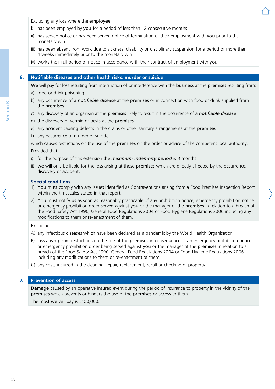Excluding any loss where the employee:

- i) has been employed by you for a period of less than 12 consecutive months
- ii) has served notice or has been served notice of termination of their employment with you prior to the monetary win
- iii) has been absent from work due to sickness, disability or disciplinary suspension for a period of more than 4 weeks immediately prior to the monetary win
- iv) works their full period of notice in accordance with their contract of employment with you.

## 6. **Notifiable diseases and other health risks, murder or suicide**

We will pay for loss resulting from interruption of or interference with the **business** at the **premises** resulting from:

- a) food or drink poisoning
- b) any occurrence of a *notifiable disease* at the premises or in connection with food or drink supplied from the premises
- c) any discovery of an organism at the premises likely to result in the occurrence of a *notifiable disease*
- d) the discovery of vermin or pests at the premises
- e) any accident causing defects in the drains or other sanitary arrangements at the premises
- f) any occurrence of murder or suicide

which causes restrictions on the use of the premises on the order or advice of the competent local authority. Provided that:

- i) for the purpose of this extension the *maximum indemnity period* is 3 months
- ii) we will only be liable for the loss arising at those premises which are directly affected by the occurrence, discovery or accident.

#### **Special conditions**

- 1) You must comply with any issues identified as Contraventions arising from a Food Premises Inspection Report within the timescales stated in that report.
- 2) You must notify us as soon as reasonably practicable of any prohibition notice, emergency prohibition notice or emergency prohibition order served against you or the manager of the premises in relation to a breach of the Food Safety Act 1990, General Food Regulations 2004 or Food Hygiene Regulations 2006 including any modifications to them or re-enactment of them.

#### Excluding:

- A) any infectious diseases which have been declared as a pandemic by the World Health Organisation
- B) loss arising from restrictions on the use of the premises in consequence of an emergency prohibition notice or emergency prohibition order being served against you or the manager of the premises in relation to a breach of the Food Safety Act 1990, General Food Regulations 2004 or Food Hygiene Regulations 2006 including any modifications to them or re-enactment of them
- C) any costs incurred in the cleaning, repair, replacement, recall or checking of property.

#### 7. **Prevention of access**

Damage caused by an operative Insured event during the period of insurance to property in the vicinity of the premises which prevents or hinders the use of the premises or access to them.

The most we will pay is £100,000.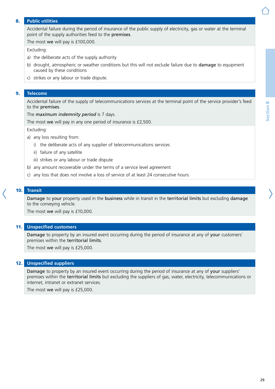## 8. **Public utilities**

Accidental failure during the period of insurance of the public supply of electricity, gas or water at the terminal point of the supply authorities feed to the premises.

The most we will pay is £100,000.

#### Excluding:

- a) the deliberate acts of the supply authority
- b) drought, atmospheric or weather conditions but this will not exclude failure due to **damage** to equipment caused by these conditions
- c) strikes or any labour or trade dispute.

#### 9. **Telecoms**

Accidental failure of the supply of telecommunications services at the terminal point of the service provider's feed to the premises.

The *maximum indemnity period* is 7 days.

The most we will pay in any one period of insurance is £2,500.

Excluding:

- a) any loss resulting from:
	- i) the deliberate acts of any supplier of telecommunications services
	- ii) failure of any satellite
	- iii) strikes or any labour or trade dispute
- b) any amount recoverable under the terms of a service level agreement
- c) any loss that does not involve a loss of service of at least 24 consecutive hours.

#### 10. **Transit**

Damage to your property used in the business while in transit in the territorial limits but excluding damage to the conveying vehicle.

The most we will pay is £10,000.

#### 11. **Unspecified customers**

Damage to property by an insured event occurring during the period of insurance at any of your customers' premises within the territorial limits.

The most we will pay is £25,000.

#### 12. **Unspecified suppliers**

Damage to property by an insured event occurring during the period of insurance at any of your suppliers' premises within the territorial limits but excluding the suppliers of gas, water, electricity, telecommunications or internet, intranet or extranet services.

The most we will pay is £25,000.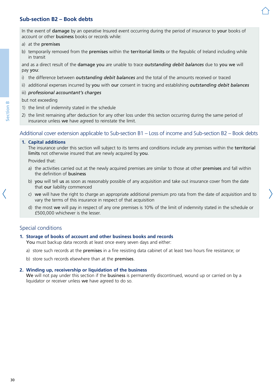# <span id="page-29-0"></span>**Sub-section B2 – Book debts**

In the event of damage by an operative Insured event occurring during the period of insurance to your books of account or other business books or records while:

- a) at the premises
- b) temporarily removed from the **premises** within the **territorial limits** or the Republic of Ireland including while in transit

and as a direct result of the damage you are unable to trace *outstanding debit balances* due to you we will pay you:

- i) the difference between *outstanding debit balances* and the total of the amounts received or traced
- ii) additional expenses incurred by you with our consent in tracing and establishing *outstanding debit balances*

#### iii) *professional accountant's charges*

but not exceeding

- 1) the limit of indemnity stated in the schedule
- 2) the limit remaining after deduction for any other loss under this section occurring during the same period of insurance unless we have agreed to reinstate the limit.

# Additional cover extension applicable to Sub-section B1 – Loss of income and Sub-section B2 – Book debts

#### **1. Capital additions**

The insurance under this section will subject to its terms and conditions include any premises within the territorial limits not otherwise insured that are newly acquired by you.

Provided that:

- a) the activities carried out at the newly acquired premises are similar to those at other premises and fall within the definition of business
- b) you will tell us as soon as reasonably possible of any acquisition and take out insurance cover from the date that our liability commenced
- c) we will have the right to charge an appropriate additional premium pro rata from the date of acquisition and to vary the terms of this insurance in respect of that acquisition
- d) the most we will pay in respect of any one premises is 10% of the limit of indemnity stated in the schedule or £500,000 whichever is the lesser.

# Special conditions

#### **1. Storage of books of account and other business books and records**

You must backup data records at least once every seven days and either:

- a) store such records at the premises in a fire resisting data cabinet of at least two hours fire resistance; or
- b) store such records elsewhere than at the premises.

#### **2. Winding up, receivership or liquidation of the business**

We will not pay under this section if the business is permanently discontinued, wound up or carried on by a liquidator or receiver unless we have agreed to do so.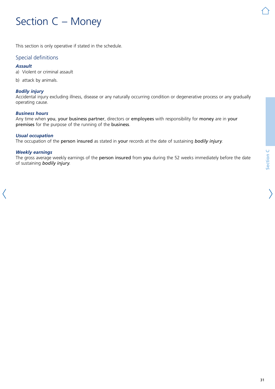# <span id="page-30-0"></span>Section C – Money

This section is only operative if stated in the schedule.

# Special definitions

#### *Assault*

a) Violent or criminal assault

b) attack by animals.

#### *Bodily injury*

Accidental injury excluding illness, disease or any naturally occurring condition or degenerative process or any gradually operating cause.

#### *Business hours*

Any time when you, your business partner, directors or employees with responsibility for money are in your premises for the purpose of the running of the business.

#### *Usual occupation*

The occupation of the person insured as stated in your records at the date of sustaining *bodily injury*.

#### *Weekly earnings*

The gross average weekly earnings of the person insured from you during the 52 weeks immediately before the date of sustaining *bodily injury*.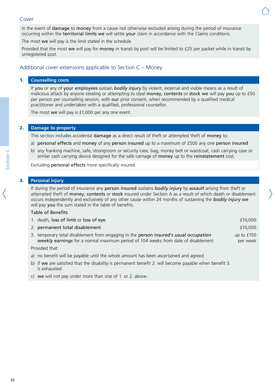# Cover

In the event of damage to money from a cause not otherwise excluded arising during the period of insurance occurring within the territorial limits we will settle your claim in accordance with the Claims conditions.

The most we will pay is the limit stated in the schedule.

Provided that the most we will pay for money in transit by post will be limited to £25 per packet while in transit by unregistered post.

# Additional cover extensions applicable to Section C – Money

#### 1. **Counselling costs**

If you or any of your employees sustain *bodily injury* by violent, external and visible means as a result of malicious attack by anyone stealing or attempting to steal money, contents or stock we will pay you up to £50 per person per counselling session, with our prior consent, when recommended by a qualified medical practitioner and undertaken with a qualified, professional counsellor.

The most we will pay is £1,000 per any one event.

#### 2. **Damage to property**

This section includes accidental damage as a direct result of theft or attempted theft of money to:

- a) personal effects and money of any person insured up to a maximum of £500 any one person insured
- b) any franking machine, safe, strongroom or security case, bag, money belt or waistcoat, cash carrying case or similar cash carrying device designed for the safe carriage of money up to the reinstatement cost.

Excluding personal effects more specifically insured.

# 3. **Personal injury**

If during the period of insurance any person insured sustains *bodily injury* by *assault* arising from theft or attempted theft of money, contents or stock insured under Section A as a result of which death or disablement occurs independently and exclusively of any other cause within 24 months of sustaining the *bodily injury* we will pay you the sum stated in the table of benefits.

#### Table of Benefits

| 1. death, loss of limb or loss of eye                                                                                                                                      | £10,000                  |
|----------------------------------------------------------------------------------------------------------------------------------------------------------------------------|--------------------------|
| 2. permanent total disablement                                                                                                                                             | £10,000                  |
| 3. temporary total disablement from engaging in the person insured's usual occupation<br>weekly earnings for a normal maximum period of 104 weeks from date of disablement | up to $£150$<br>per week |
| Provided that:                                                                                                                                                             |                          |

a) no benefit will be payable until the whole amount has been ascertained and agreed

- b) if we are satisfied that the disability is permanent benefit 2. will become payable when benefit 3. is exhausted
- c) we will not pay under more than one of 1. or 2. above.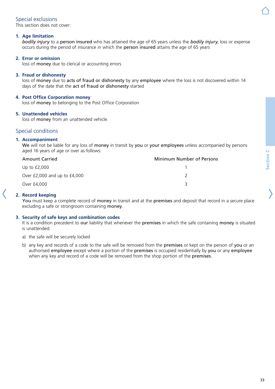# Special exclusions

This section does not cover:

## **1. Age limitation**

*bodily injury* to a person insured who has attained the age of 65 years unless the *bodily injury*, loss or expense occurs during the period of insurance in which the person insured attains the age of 65 years

# **2. Error or omission**

loss of money due to clerical or accounting errors

#### **3. Fraud or dishonesty**

loss of money due to acts of fraud or dishonesty by any employee where the loss is not discovered within 14 days of the date that the act of fraud or dishonesty started

# **4. Post Office Corporation money**

loss of money to belonging to the Post Office Corporation

#### **5. Unattended vehicles**

loss of money from an unattended vehicle.

# Special conditions

#### **1. Accompaniment**

We will not be liable for any loss of money in transit by you or your employees unless accompanied by persons aged 16 years of age or over as follows:

| <b>Amount Carried</b>            | Minimum Number of Persons |
|----------------------------------|---------------------------|
| Up to $£2,000$                   |                           |
| Over $£2,000$ and up to $£4,000$ |                           |
| Over £4,000                      |                           |

# **2. Record keeping**

You must keep a complete record of money in transit and at the premises and deposit that record in a secure place excluding a safe or strongroom containing money.

#### **3. Security of safe keys and combination codes**

It is a condition precedent to our liability that whenever the premises in which the safe containing money is situated is unattended:

- a) the safe will be securely locked
- b) any key and records of a code to the safe will be removed from the premises or kept on the person of you or an authorised employee except where a portion of the premises is occupied residentially by you or any employee when any key and record of a code will be removed from the shop portion of the **premises**.

Section C **Section C**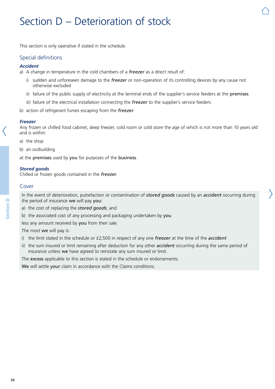# <span id="page-33-0"></span>Section D – Deterioration of stock

This section is only operative if stated in the schedule.

# Special definitions

#### *Accident*

a) A change in temperature in the cold chambers of a *freezer* as a direct result of:

- i) sudden and unforeseen damage to the *freezer* or non-operation of its controlling devices by any cause not otherwise excluded
- ii) failure of the public supply of electricity at the terminal ends of the supplier's service feeders at the premises
- iii) failure of the electrical installation connecting the *freezer* to the supplier's service feeders
- b) action of refrigerant fumes escaping from the *freezer*.

#### *Freezer*

Any frozen or chilled food cabinet, deep freezer, cold room or cold store the age of which is not more than 10 years old and is within:

a) the shop

b) an outbuilding

at the premises used by you for purposes of the business.

#### *Stored goods*

Chilled or frozen goods contained in the *freezer*.

#### Cover

In the event of deterioration, putrefaction or contamination of *stored goods* caused by an *accident* occurring during the period of insurance we will pay you:

- a) the cost of replacing the *stored goods*; and
- b) the associated cost of any processing and packaging undertaken by you

less any amount received by you from their sale.

The most we will pay is:

- i) the limit stated in the schedule or £2,500 in respect of any one *freezer* at the time of the *accident*
- ii) the sum insured or limit remaining after deduction for any other *accident* occurring during the same period of insurance unless we have agreed to reinstate any sum insured or limit.

The excess applicable to this section is stated in the schedule or endorsements.

We will settle your claim in accordance with the Claims conditions.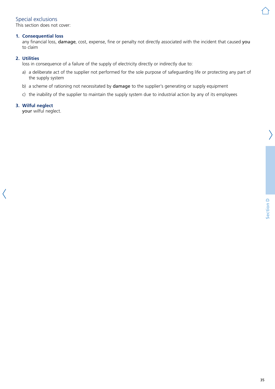# Special exclusions

This section does not cover:

### **1. Consequential loss**

any financial loss, damage, cost, expense, fine or penalty not directly associated with the incident that caused you to claim

# **2. Utilities**

loss in consequence of a failure of the supply of electricity directly or indirectly due to:

- a) a deliberate act of the supplier not performed for the sole purpose of safeguarding life or protecting any part of the supply system
- b) a scheme of rationing not necessitated by damage to the supplier's generating or supply equipment
- c) the inability of the supplier to maintain the supply system due to industrial action by any of its employees

# **3. Wilful neglect**

your wilful neglect.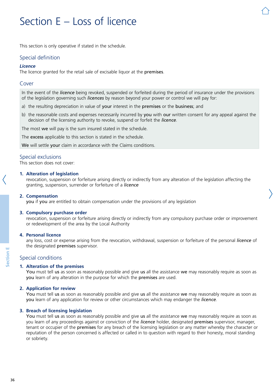# <span id="page-35-0"></span>Section E – Loss of licence

This section is only operative if stated in the schedule.

# Special definition

#### *Licence*

The licence granted for the retail sale of excisable liquor at the premises.

#### Cover

In the event of the *licence* being revoked, suspended or forfeited during the period of insurance under the provisions of the legislation governing such *licences* by reason beyond your power or control we will pay for:

- a) the resulting depreciation in value of your interest in the premises or the business; and
- b) the reasonable costs and expenses necessarily incurred by you with our written consent for any appeal against the decision of the licensing authority to revoke, suspend or forfeit the *licence*.

The most we will pay is the sum insured stated in the schedule.

The excess applicable to this section is stated in the schedule.

We will settle your claim in accordance with the Claims conditions.

# Special exclusions

This section does not cover:

#### **1. Alteration of legislation**

revocation, suspension or forfeiture arising directly or indirectly from any alteration of the legislation affecting the granting, suspension, surrender or forfeiture of a *licence*

#### **2. Compensation**

you if you are entitled to obtain compensation under the provisions of any legislation

#### **3. Compulsory purchase order**

revocation, suspension or forfeiture arising directly or indirectly from any compulsory purchase order or improvement or redevelopment of the area by the Local Authority

#### **4. Personal licence**

any loss, cost or expense arising from the revocation, withdrawal, suspension or forfeiture of the personal *licence* of the designated premises supervisor.

# Special conditions

#### **1. Alteration of the premises**

You must tell us as soon as reasonably possible and give us all the assistance we may reasonably require as soon as you learn of any alteration in the purpose for which the premises are used.

#### **2. Application for review**

You must tell us as soon as reasonably possible and give us all the assistance we may reasonably require as soon as you learn of any application for review or other circumstances which may endanger the *licence*.

#### **3. Breach of licensing legislation**

You must tell us as soon as reasonably possible and give us all the assistance we may reasonably require as soon as you learn of any proceedings against or conviction of the *licence* holder, designated premises supervisor, manager, tenant or occupier of the premises for any breach of the licensing legislation or any matter whereby the character or reputation of the person concerned is affected or called in to question with regard to their honesty, moral standing or sobriety.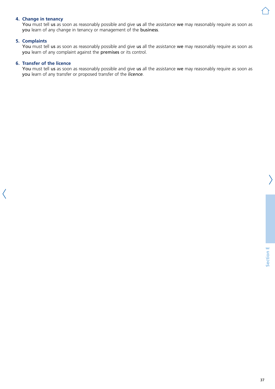#### **4. Change in tenancy**

You must tell us as soon as reasonably possible and give us all the assistance we may reasonably require as soon as you learn of any change in tenancy or management of the business.

#### **5. Complaints**

You must tell us as soon as reasonably possible and give us all the assistance we may reasonably require as soon as you learn of any complaint against the premises or its control.

#### **6. Transfer of the licence**

You must tell us as soon as reasonably possible and give us all the assistance we may reasonably require as soon as you learn of any transfer or proposed transfer of the *licence*.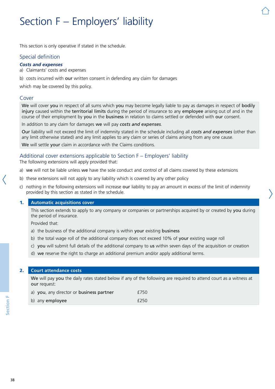# Section F – Employers' liability

This section is only operative if stated in the schedule.

## Special definition

#### *Costs and expenses*

a) Claimants' costs and expenses

b) costs incurred with our written consent in defending any claim for damages

which may be covered by this policy.

#### Cover

We will cover you in respect of all sums which you may become legally liable to pay as damages in respect of bodily injury caused within the territorial limits during the period of insurance to any employee arising out of and in the course of their employment by you in the business in relation to claims settled or defended with our consent.

In addition to any claim for damages we will pay *costs and expenses*.

Our liability will not exceed the limit of indemnity stated in the schedule including all *costs and expenses* (other than any limit otherwise stated) and any limit applies to any claim or series of claims arising from any one cause.

We will settle your claim in accordance with the Claims conditions.

## Additional cover extensions applicable to Section F – Employers' liability

The following extensions will apply provided that:

- a) we will not be liable unless we have the sole conduct and control of all claims covered by these extensions
- b) these extensions will not apply to any liability which is covered by any other policy
- c) nothing in the following extensions will increase our liability to pay an amount in excess of the limit of indemnity provided by this section as stated in the schedule.

#### 1. **Automatic acquisitions cover**

This section extends to apply to any company or companies or partnerships acquired by or created by you during the period of insurance.

Provided that:

- a) the business of the additional company is within your existing business
- b) the total wage roll of the additional company does not exceed 10% of your existing wage roll
- c) you will submit full details of the additional company to us within seven days of the acquisition or creation
- d) we reserve the right to charge an additional premium and/or apply additional terms.

#### 2. **Court attendance costs**

We will pay you the daily rates stated below if any of the following are required to attend court as a witness at our request:

| a) you, any director or business partner | £750 |
|------------------------------------------|------|
| b) any employee                          | £250 |

**Section F**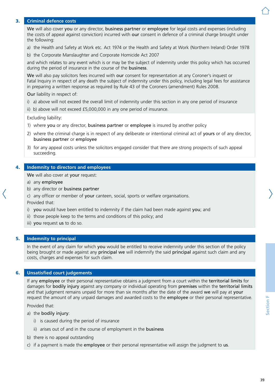## 3. **Criminal defence costs**

We will also cover you or any director, business partner or employee for legal costs and expenses (including the costs of appeal against conviction) incurred with our consent in defence of a criminal charge brought under the following:

- a) the Health and Safety at Work etc. Act 1974 or the Health and Safety at Work (Northern Ireland) Order 1978
- b) the Corporate Manslaughter and Corporate Homicide Act 2007

and which relates to any event which is or may be the subject of indemnity under this policy which has occurred during the period of insurance in the course of the business.

We will also pay solicitors fees incurred with our consent for representation at any Coroner's inquest or Fatal Inquiry in respect of any death the subject of indemnity under this policy, including legal fees for assistance in preparing a written response as required by Rule 43 of the Coroners (amendment) Rules 2008.

Our liability in respect of:

- i) a) above will not exceed the overall limit of indemnity under this section in any one period of insurance
- ii) b) above will not exceed £5,000,000 in any one period of insurance.

Excluding liability:

- 1) where you or any director, business partner or employee is insured by another policy
- 2) where the criminal charge is in respect of any deliberate or intentional criminal act of yours or of any director, business partner or employee
- 3) for any appeal costs unless the solicitors engaged consider that there are strong prospects of such appeal succeeding.

### 4. **Indemnity to directors and employees**

We will also cover at your request:

- a) any employee
- b) any director or business partner
- c) any officer or member of your canteen, social, sports or welfare organisations.

Provided that:

- i) you would have been entitled to indemnity if the claim had been made against you; and
- ii) those people keep to the terms and conditions of this policy; and
- iii) you request us to do so.

## 5. **Indemnity to principal**

In the event of any claim for which you would be entitled to receive indemnity under this section of the policy being brought or made against any principal we will indemnify the said principal against such claim and any costs, charges and expenses for such claim.

## 6. **Unsatisfied court judgements**

If any employee or their personal representative obtains a judgment from a court within the territorial limits for damages for bodily injury against any company or individual operating from premises within the territorial limits and that judgment remains unpaid for more than six months after the date of the award we will pay at your request the amount of any unpaid damages and awarded costs to the employee or their personal representative.

Provided that:

- a) the bodily injury:
	- i) is caused during the period of insurance
	- ii) arises out of and in the course of employment in the business
- b) there is no appeal outstanding
- c) if a payment is made the employee or their personal representative will assign the judgment to us.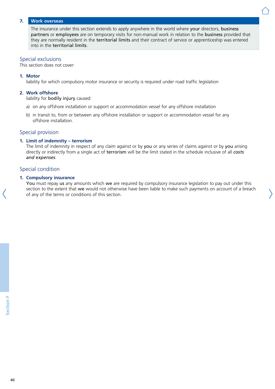#### 7. **Work overseas**

The insurance under this section extends to apply anywhere in the world where your directors, business partners or employees are on temporary visits for non-manual work in relation to the business provided that they are normally resident in the territorial limits and their contract of service or apprenticeship was entered into in the territorial limits.

#### Special exclusions

This section does not cover:

#### **1. Motor**

liability for which compulsory motor insurance or security is required under road traffic legislation

#### **2. Work offshore**

liability for bodily injury caused:

- a) on any offshore installation or support or accommodation vessel for any offshore installation
- b) in transit to, from or between any offshore installation or support or accommodation vessel for any offshore installation.

## Special provision

#### **1. Limit of indemnity – terrorism**

The limit of indemnity in respect of any claim against or by you or any series of claims against or by you arising directly or indirectly from a single act of terrorism will be the limit stated in the schedule inclusive of all *costs and expenses*.

## Special condition

#### **1. Compulsory insurance**

You must repay us any amounts which we are required by compulsory insurance legislation to pay out under this section to the extent that we would not otherwise have been liable to make such payments on account of a breach of any of the terms or conditions of this section.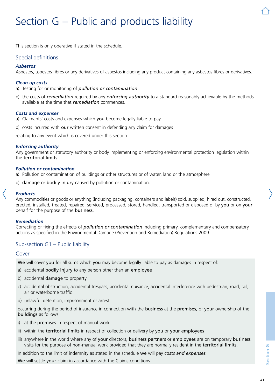# Section G – Public and products liability

This section is only operative if stated in the schedule.

## Special definitions

#### *Asbestos*

Asbestos, asbestos fibres or any derivatives of asbestos including any product containing any asbestos fibres or derivatives.

#### *Clean up costs*

a) Testing for or monitoring of *pollution or contamination*

b) the costs of *remediation* required by any *enforcing authority* to a standard reasonably achievable by the methods available at the time that *remediation* commences.

#### *Costs and expenses*

- a) Claimants' costs and expenses which you become legally liable to pay
- b) costs incurred with our written consent in defending any claim for damages

relating to any event which is covered under this section.

#### *Enforcing authority*

Any government or statutory authority or body implementing or enforcing environmental protection legislation within the territorial limits.

#### *Pollution or contamination*

a) Pollution or contamination of buildings or other structures or of water, land or the atmosphere

b) damage or bodily injury caused by pollution or contamination.

#### *Products*

Any commodities or goods or anything (including packaging, containers and labels) sold, supplied, hired out, constructed, erected, installed, treated, repaired, serviced, processed, stored, handled, transported or disposed of by you or on your behalf for the purpose of the business.

#### *Remediation*

Correcting or fixing the effects of *pollution or contamination* including primary, complementary and compensatory actions as specified in the Environmental Damage (Prevention and Remediation) Regulations 2009.

## Sub-section G1 – Public liability

#### Cover

We will cover you for all sums which you may become legally liable to pay as damages in respect of:

- a) accidental **bodily injury** to any person other than an employee
- b) accidental damage to property
- c) accidental obstruction, accidental trespass, accidental nuisance, accidental interference with pedestrian, road, rail, air or waterborne traffic
- d) unlawful detention, imprisonment or arrest

occurring during the period of insurance in connection with the business at the premises, or your ownership of the buildings as follows:

- i) at the premises in respect of manual work
- ii) within the territorial limits in respect of collection or delivery by you or your employees
- iii) anywhere in the world where any of your directors, business partners or employees are on temporary business visits for the purpose of non-manual work provided that they are normally resident in the territorial limits.

In addition to the limit of indemnity as stated in the schedule we will pay *costs and expenses*.

We will settle your claim in accordance with the Claims conditions.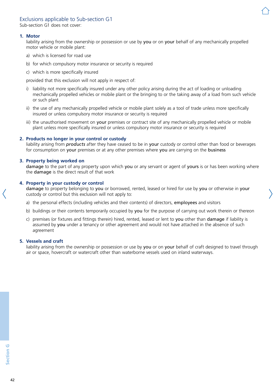## Exclusions applicable to Sub-section G1

Sub-section G1 does not cover:

#### **1. Motor**

liability arising from the ownership or possession or use by you or on your behalf of any mechanically propelled motor vehicle or mobile plant:

- a) which is licensed for road use
- b) for which compulsory motor insurance or security is required
- c) which is more specifically insured

provided that this exclusion will not apply in respect of:

- i) liability not more specifically insured under any other policy arising during the act of loading or unloading mechanically propelled vehicles or mobile plant or the bringing to or the taking away of a load from such vehicle or such plant
- ii) the use of any mechanically propelled vehicle or mobile plant solely as a tool of trade unless more specifically insured or unless compulsory motor insurance or security is required
- iii) the unauthorised movement on your premises or contract site of any mechanically propelled vehicle or mobile plant unless more specifically insured or unless compulsory motor insurance or security is required

#### **2. Products no longer in your control or custody**

liability arising from *products* after they have ceased to be in your custody or control other than food or beverages for consumption on your premises or at any other premises where you are carrying on the business

#### **3. Property being worked on**

damage to the part of any property upon which you or any servant or agent of yours is or has been working where the damage is the direct result of that work

#### **4. Property in your custody or control**

damage to property belonging to you or borrowed, rented, leased or hired for use by you or otherwise in your custody or control but this exclusion will not apply to:

- a) the personal effects (including vehicles and their contents) of directors, employees and visitors
- b) buildings or their contents temporarily occupied by you for the purpose of carrying out work therein or thereon
- c) premises (or fixtures and fittings therein) hired, rented, leased or lent to you other than damage if liability is assumed by you under a tenancy or other agreement and would not have attached in the absence of such agreement

#### **5. Vessels and craft**

liability arising from the ownership or possession or use by you or on your behalf of craft designed to travel through air or space, hovercraft or watercraft other than waterborne vessels used on inland waterways.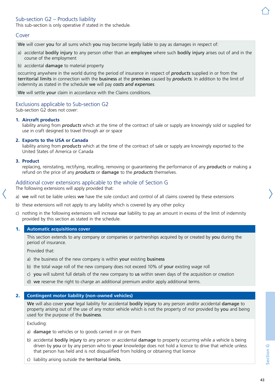## Sub-section G2 – Products liability

This sub-section is only operative if stated in the schedule.

#### Cover

We will cover you for all sums which you may become legally liable to pay as damages in respect of:

- a) accidental bodily injury to any person other than an employee where such bodily injury arises out of and in the course of the employment
- b) accidental damage to material property

occurring anywhere in the world during the period of insurance in respect of *products* supplied in or from the territorial limits in connection with the business at the premises caused by *products*. In addition to the limit of indemnity as stated in the schedule we will pay *costs and expenses*.

We will settle your claim in accordance with the Claims conditions.

### Exclusions applicable to Sub-section G2

Sub-section G2 does not cover:

#### **1. Aircraft products**

liability arising from *products* which at the time of the contract of sale or supply are knowingly sold or supplied for use in craft designed to travel through air or space

#### **2. Exports to the USA or Canada**

liability arising from *products* which at the time of the contract of sale or supply are knowingly exported to the United States of America or Canada

#### **3. Product**

replacing, reinstating, rectifying, recalling, removing or guaranteeing the performance of any *products* or making a refund on the price of any *products* or damage to the *products* themselves.

### Additional cover extensions applicable to the whole of Section G

The following extensions will apply provided that:

- a) we will not be liable unless we have the sole conduct and control of all claims covered by these extensions
- b) these extensions will not apply to any liability which is covered by any other policy
- c) nothing in the following extensions will increase our liability to pay an amount in excess of the limit of indemnity provided by this section as stated in the schedule.

#### 1. **Automatic acquisitions cover**

This section extends to any company or companies or partnerships acquired by or created by you during the period of insurance.

Provided that:

- a) the business of the new company is within your existing business
- b) the total wage roll of the new company does not exceed 10% of your existing wage roll
- c) you will submit full details of the new company to us within seven days of the acquisition or creation
- d) we reserve the right to charge an additional premium and/or apply additional terms.

#### 2. **Contingent motor liability (non-owned vehicles)**

We will also cover your legal liability for accidental bodily injury to any person and/or accidental damage to property arising out of the use of any motor vehicle which is not the property of nor provided by you and being used for the purpose of the business.

Excluding:

- a) damage to vehicles or to goods carried in or on them
- b) accidental bodily injury to any person or accidental damage to property occurring while a vehicle is being driven by you or by any person who to your knowledge does not hold a licence to drive that vehicle unless that person has held and is not disqualified from holding or obtaining that licence
- c) liability arising outside the territorial limits.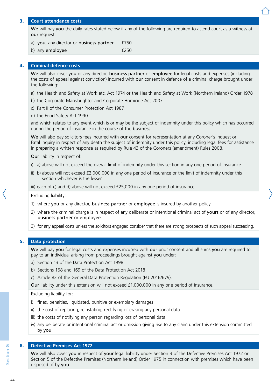#### 3. **Court attendance costs**

We will pay you the daily rates stated below if any of the following are required to attend court as a witness at our request:

- a) you, any director or business partner £750
- b) any employee  $f250$

#### 4. **Criminal defence costs**

We will also cover you or any director, business partner or employee for legal costs and expenses (including the costs of appeal against conviction) incurred with our consent in defence of a criminal charge brought under the following:

- a) the Health and Safety at Work etc. Act 1974 or the Health and Safety at Work (Northern Ireland) Order 1978
- b) the Corporate Manslaughter and Corporate Homicide Act 2007
- c) Part II of the Consumer Protection Act 1987
- d) the Food Safety Act 1990

and which relates to any event which is or may be the subject of indemnity under this policy which has occurred during the period of insurance in the course of the business.

We will also pay solicitors fees incurred with our consent for representation at any Coroner's inquest or Fatal Inquiry in respect of any death the subject of indemnity under this policy, including legal fees for assistance in preparing a written response as required by Rule 43 of the Coroners (amendment) Rules 2008.

Our liability in respect of:

- i) a) above will not exceed the overall limit of indemnity under this section in any one period of insurance
- ii) b) above will not exceed £2,000,000 in any one period of insurance or the limit of indemnity under this section whichever is the lesser

iii) each of c) and d) above will not exceed  $£25,000$  in any one period of insurance.

Excluding liability:

- 1) where you or any director, business partner or employee is insured by another policy
- 2) where the criminal charge is in respect of any deliberate or intentional criminal act of yours or of any director, business partner or employee
- 3) for any appeal costs unless the solicitors engaged consider that there are strong prospects of such appeal succeeding.

#### 5. **Data protection**

We will pay you for legal costs and expenses incurred with our prior consent and all sums you are required to pay to an individual arising from proceedings brought against you under:

- a) Section 13 of the Data Protection Act 1998
- b) Sections 168 and 169 of the Data Protection Act 2018
- c) Article 82 of the General Data Protection Regulation (EU 2016/679).

Our liability under this extension will not exceed £1,000,000 in any one period of insurance.

Excluding liability for:

- i) fines, penalties, liquidated, punitive or exemplary damages
- ii) the cost of replacing, reinstating, rectifying or erasing any personal data
- iii) the costs of notifying any person regarding loss of personal data
- iv) any deliberate or intentional criminal act or omission giving rise to any claim under this extension committed by you.

## 6. **Defective Premises Act 1972**

We will also cover you in respect of your legal liability under Section 3 of the Defective Premises Act 1972 or Section 5 of the Defective Premises (Northern Ireland) Order 1975 in connection with premises which have been disposed of by you.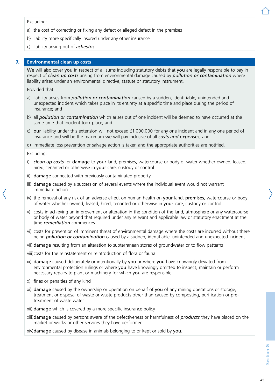#### Excluding:

- a) the cost of correcting or fixing any defect or alleged defect in the premises
- b) liability more specifically insured under any other insurance
- c) liability arising out of *asbestos*.

#### 7. **Environmental clean up costs**

We will also cover you in respect of all sums including statutory debts that you are legally responsible to pay in respect of *clean up costs* arising from environmental damage caused by *pollution or contamination* where liability arises under an environmental directive, statute or statutory instrument.

Provided that:

- a) liability arises from *pollution or contamination* caused by a sudden, identifiable, unintended and unexpected incident which takes place in its entirety at a specific time and place during the period of insurance; and
- b) all *pollution or contamination* which arises out of one incident will be deemed to have occurred at the same time that incident took place; and
- c) our liability under this extension will not exceed £1,000,000 for any one incident and in any one period of insurance and will be the maximum we will pay inclusive of all *costs and expenses*; and

d) immediate loss prevention or salvage action is taken and the appropriate authorities are notified.

Excluding:

- i) *clean up costs* for damage to your land, premises, watercourse or body of water whether owned, leased, hired, tenanted or otherwise in your care, custody or control
- ii) damage connected with previously contaminated property
- iii) damage caused by a succession of several events where the individual event would not warrant immediate action
- iv) the removal of any risk of an adverse effect on human health on your land, premises, watercourse or body of water whether owned, leased, hired, tenanted or otherwise in your care, custody or control
- v) costs in achieving an improvement or alteration in the condition of the land, atmosphere or any watercourse or body of water beyond that required under any relevant and applicable law or statutory enactment at the time *remediation* commences
- vi) costs for prevention of imminent threat of environmental damage where the costs are incurred without there being *pollution or contamination* caused by a sudden, identifiable, unintended and unexpected incident
- vii) damage resulting from an alteration to subterranean stores of groundwater or to flow patterns

viii)costs for the reinstatement or reintroduction of flora or fauna

- ix) damage caused deliberately or intentionally by you or where you have knowingly deviated from environmental protection rulings or where you have knowingly omitted to inspect, maintain or perform necessary repairs to plant or machinery for which you are responsible
- x) fines or penalties of any kind
- xi) damage caused by the ownership or operation on behalf of you of any mining operations or storage, treatment or disposal of waste or waste products other than caused by composting, purification or pretreatment of waste water
- xii) damage which is covered by a more specific insurance policy
- xiii)damage caused by persons aware of the defectiveness or harmfulness of *products* they have placed on the market or works or other services they have performed

xiv)damage caused by disease in animals belonging to or kept or sold by you.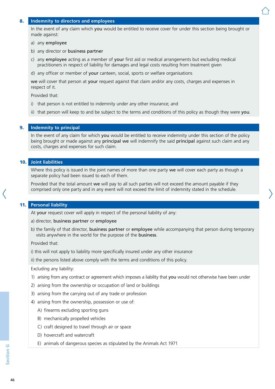#### 8. **Indemnity to directors and employees**

In the event of any claim which you would be entitled to receive cover for under this section being brought or made against:

#### a) any employee

- b) any director or business partner
- c) any employee acting as a member of your first aid or medical arrangements but excluding medical practitioners in respect of liability for damages and legal costs resulting from treatment given

d) any officer or member of your canteen, social, sports or welfare organisations

we will cover that person at your request against that claim and/or any costs, charges and expenses in respect of it.

Provided that:

- i) that person is not entitled to indemnity under any other insurance; and
- ii) that person will keep to and be subject to the terms and conditions of this policy as though they were you.

#### 9. **Indemnity to principal**

In the event of any claim for which you would be entitled to receive indemnity under this section of the policy being brought or made against any **principal we** will indemnify the said **principal** against such claim and any costs, charges and expenses for such claim.

#### 10. **Joint liabilities**

Where this policy is issued in the joint names of more than one party we will cover each party as though a separate policy had been issued to each of them.

Provided that the total amount we will pay to all such parties will not exceed the amount payable if they comprised only one party and in any event will not exceed the limit of indemnity stated in the schedule.

#### 11. **Personal liability**

At your request cover will apply in respect of the personal liability of any:

a) director, business partner or employee

b) the family of that director, business partner or employee while accompanying that person during temporary visits anywhere in the world for the purpose of the business.

Provided that:

i) this will not apply to liability more specifically insured under any other insurance

ii) the persons listed above comply with the terms and conditions of this policy.

Excluding any liability:

- 1) arising from any contract or agreement which imposes a liability that you would not otherwise have been under
- 2) arising from the ownership or occupation of land or buildings
- 3) arising from the carrying out of any trade or profession
- 4) arising from the ownership, possession or use of:
	- A) firearms excluding sporting guns
	- B) mechanically propelled vehicles
	- C) craft designed to travel through air or space
	- D) hovercraft and watercraft
	- E) animals of dangerous species as stipulated by the Animals Act 1971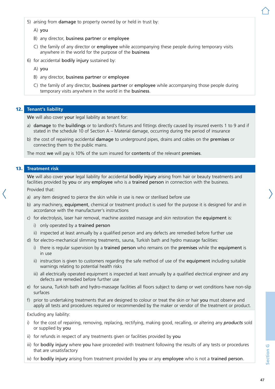- 5) arising from damage to property owned by or held in trust by:
	- A) you
	- B) any director, business partner or employee
	- C) the family of any director or employee while accompanying these people during temporary visits anywhere in the world for the purpose of the business
- 6) for accidental bodily injury sustained by:
	- A) you
	- B) any director, business partner or employee
	- C) the family of any director, business partner or employee while accompanying those people during temporary visits anywhere in the world in the business.

### 12. **Tenant's liability**

We will also cover your legal liability as tenant for:

- a) damage to the buildings or to landlord's fixtures and fittings directly caused by insured events 1 to 9 and if stated in the schedule 10 of Section A – Material damage, occurring during the period of insurance
- b) the cost of repairing accidental **damage** to underground pipes, drains and cables on the **premises** or connecting them to the public mains.

The most we will pay is 10% of the sum insured for contents of the relevant premises.

### 13. **Treatment risk**

We will also cover your legal liability for accidental bodily injury arising from hair or beauty treatments and facilities provided by you or any employee who is a trained person in connection with the business. Provided that:

- a) any item designed to pierce the skin while in use is new or sterilised before use
- b) any machinery, equipment, chemical or treatment product is used for the purpose it is designed for and in accordance with the manufacturer's instructions
- c) for electrolysis, laser hair removal, machine assisted massage and skin restoration the equipment is:
	- i) only operated by a trained person
	- ii) inspected at least annually by a qualified person and any defects are remedied before further use
- d) for electro-mechanical slimming treatments, sauna, Turkish bath and hydro massage facilities:
	- i) there is regular supervision by a trained person who remains on the premises while the equipment is in use
	- ii) instruction is given to customers regarding the safe method of use of the equipment including suitable warnings relating to potential health risks
	- iii) all electrically operated equipment is inspected at least annually by a qualified electrical engineer and any defects are remedied before further use
- e) for sauna, Turkish bath and hydro-massage facilities all floors subject to damp or wet conditions have non-slip surfaces
- f) prior to undertaking treatments that are designed to colour or treat the skin or hair you must observe and apply all tests and procedures required or recommended by the maker or vendor of the treatment or product.

Excluding any liability:

- i) for the cost of repairing, removing, replacing, rectifying, making good, recalling, or altering any *products* sold or supplied by you
- ii) for refunds in respect of any treatments given or facilities provided by you
- iii) for bodily injury where you have proceeded with treatment following the results of any tests or procedures that are unsatisfactory
- iv) for bodily injury arising from treatment provided by you or any employee who is not a trained person.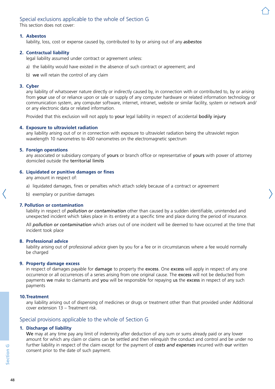## Special exclusions applicable to the whole of Section G

This section does not cover:

#### **1. Asbestos**

liability, loss, cost or expense caused by, contributed to by or arising out of any *asbestos*

### **2. Contractual liability**

legal liability assumed under contract or agreement unless:

- a) the liability would have existed in the absence of such contract or agreement; and
- b) we will retain the control of any claim

#### **3. Cyber**

any liability of whatsoever nature directly or indirectly caused by, in connection with or contributed to, by or arising from your use of or reliance upon or sale or supply of any computer hardware or related information technology or communication system, any computer software, internet, intranet, website or similar facility, system or network and/ or any electronic data or related information.

Provided that this exclusion will not apply to your legal liability in respect of accidental bodily injury

#### **4. Exposure to ultraviolet radiation**

any liability arising out of or in connection with exposure to ultraviolet radiation being the ultraviolet region wavelength 10 nanometres to 400 nanometres on the electromagnetic spectrum

#### **5. Foreign operations**

any associated or subsidiary company of yours or branch office or representative of yours with power of attorney domiciled outside the territorial limits

#### **6. Liquidated or punitive damages or fines**

any amount in respect of:

- a) liquidated damages, fines or penalties which attach solely because of a contract or agreement
- b) exemplary or punitive damages

#### **7. Pollution or contamination**

liability in respect of *pollution or contamination* other than caused by a sudden identifiable, unintended and unexpected incident which takes place in its entirety at a specific time and place during the period of insurance.

All *pollution or contamination* which arises out of one incident will be deemed to have occurred at the time that incident took place

#### **8. Professional advice**

liability arising out of professional advice given by you for a fee or in circumstances where a fee would normally be charged

#### **9. Property damage excess**

in respect of damages payable for damage to property the excess. One excess will apply in respect of any one occurrence or all occurrences of a series arising from one original cause. The excess will not be deducted from payments we make to claimants and you will be responsible for repaying us the excess in respect of any such payments

#### **10.Treatment**

any liability arising out of dispensing of medicines or drugs or treatment other than that provided under Additional cover extension 13 – Treatment risk.

## Special provisions applicable to the whole of Section G

#### **1. Discharge of liability**

We may at any time pay any limit of indemnity after deduction of any sum or sums already paid or any lower amount for which any claim or claims can be settled and then relinquish the conduct and control and be under no further liability in respect of the claim except for the payment of *costs and expenses* incurred with our written consent prior to the date of such payment.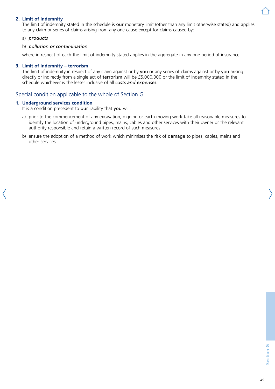### **2. Limit of indemnity**

The limit of indemnity stated in the schedule is our monetary limit (other than any limit otherwise stated) and applies to any claim or series of claims arising from any one cause except for claims caused by:

a) *products*

#### b) *pollution or contamination*

where in respect of each the limit of indemnity stated applies in the aggregate in any one period of insurance.

#### **3. Limit of indemnity – terrorism**

The limit of indemnity in respect of any claim against or by you or any series of claims against or by you arising directly or indirectly from a single act of terrorism will be £5,000,000 or the limit of indemnity stated in the schedule whichever is the lesser inclusive of all *costs and expenses*.

## Special condition applicable to the whole of Section G

#### **1. Underground services condition**

It is a condition precedent to our liability that you will:

- a) prior to the commencement of any excavation, digging or earth moving work take all reasonable measures to identify the location of underground pipes, mains, cables and other services with their owner or the relevant authority responsible and retain a written record of such measures
- b) ensure the adoption of a method of work which minimises the risk of **damage** to pipes, cables, mains and other services.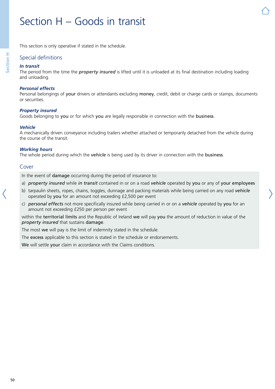# Section H – Goods in transit

This section is only operative if stated in the schedule.

## Special definitions

#### *In transit*

The period from the time the *property insured* is lifted until it is unloaded at its final destination including loading and unloading.

#### *Personal effects*

Personal belongings of your drivers or attendants excluding money, credit, debit or charge cards or stamps, documents or securities.

#### *Property insured*

Goods belonging to you or for which you are legally responsible in connection with the business.

#### *Vehicle*

A mechanically driven conveyance including trailers whether attached or temporarily detached from the vehicle during the course of the transit.

#### *Working hours*

The whole period during which the *vehicle* is being used by its driver in connection with the business.

#### Cover

In the event of damage occurring during the period of insurance to:

- a) *property insured* while *in transit* contained in or on a road *vehicle* operated by you or any of your employees
- b) tarpaulin sheets, ropes, chains, toggles, dunnage and packing materials while being carried on any road *vehicle* operated by you for an amount not exceeding £2,500 per event
- c) *personal effects* not more specifically insured while being carried in or on a *vehicle* operated by you for an amount not exceeding £250 per person per event

within the territorial limits and the Republic of Ireland we will pay you the amount of reduction in value of the *property insured* that sustains damage.

The most we will pay is the limit of indemnity stated in the schedule.

The excess applicable to this section is stated in the schedule or endorsements.

We will settle your claim in accordance with the Claims conditions.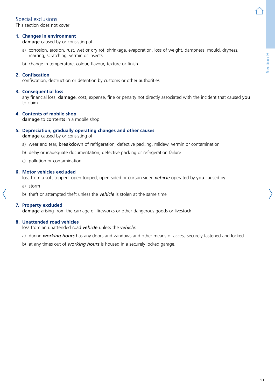## Special exclusions

This section does not cover:

### **1. Changes in environment**

damage caused by or consisting of:

- a) corrosion, erosion, rust, wet or dry rot, shrinkage, evaporation, loss of weight, dampness, mould, dryness, marring, scratching, vermin or insects
- b) change in temperature, colour, flavour, texture or finish

#### **2. Confiscation**

confiscation, destruction or detention by customs or other authorities

#### **3. Consequential loss**

any financial loss, damage, cost, expense, fine or penalty not directly associated with the incident that caused you to claim.

### **4. Contents of mobile shop**

damage to contents in a mobile shop

#### **5. Depreciation, gradually operating changes and other causes**

damage caused by or consisting of:

- a) wear and tear, breakdown of refrigeration, defective packing, mildew, vermin or contamination
- b) delay or inadequate documentation, defective packing or refrigeration failure
- c) pollution or contamination

#### **6. Motor vehicles excluded**

loss from a soft topped, open topped, open sided or curtain sided *vehicle* operated by you caused by:

- a) storm
- b) theft or attempted theft unless the *vehicle* is stolen at the same time

#### **7. Property excluded**

damage arising from the carriage of fireworks or other dangerous goods or livestock

#### **8. Unattended road vehicles**

loss from an unattended road *vehicle* unless the *vehicle*:

- a) during *working hours* has any doors and windows and other means of access securely fastened and locked
- b) at any times out of *working hours* is housed in a securely locked garage.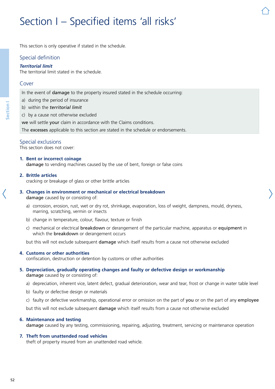# Section I – Specified items 'all risks'

This section is only operative if stated in the schedule.

## Special definition

#### *Territorial limit*

The territorial limit stated in the schedule.

#### Cover

In the event of damage to the property insured stated in the schedule occurring:

a) during the period of insurance

- b) within the *territorial limit*
- c) by a cause not otherwise excluded

we will settle your claim in accordance with the Claims conditions.

The excesses applicable to this section are stated in the schedule or endorsements.

#### Special exclusions

This section does not cover:

#### **1. Bent or incorrect coinage**

damage to vending machines caused by the use of bent, foreign or false coins

#### **2. Brittle articles**

cracking or breakage of glass or other brittle articles

#### **3. Changes in environment or mechanical or electrical breakdown** damage caused by or consisting of:

- a) corrosion, erosion, rust, wet or dry rot, shrinkage, evaporation, loss of weight, dampness, mould, dryness, marring, scratching, vermin or insects
- b) change in temperature, colour, flavour, texture or finish
- c) mechanical or electrical breakdown or derangement of the particular machine, apparatus or equipment in which the breakdown or derangement occurs

but this will not exclude subsequent damage which itself results from a cause not otherwise excluded

#### **4. Customs or other authorities**

confiscation, destruction or detention by customs or other authorities

#### **5. Depreciation, gradually operating changes and faulty or defective design or workmanship** damage caused by or consisting of:

- a) depreciation, inherent vice, latent defect, gradual deterioration, wear and tear, frost or change in water table level
- b) faulty or defective design or materials
- c) faulty or defective workmanship, operational error or omission on the part of you or on the part of any employee

but this will not exclude subsequent damage which itself results from a cause not otherwise excluded

#### **6. Maintenance and testing**

damage caused by any testing, commissioning, repairing, adjusting, treatment, servicing or maintenance operation

#### **7. Theft from unattended road vehicles**

theft of property insured from an unattended road vehicle.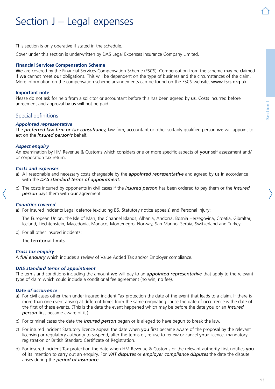# Section J – Legal expenses

This section is only operative if stated in the schedule.

Cover under this section is underwritten by DAS Legal Expenses Insurance Company Limited.

#### **Financial Services Compensation Scheme**

We are covered by the Financial Services Compensation Scheme (FSCS). Compensation from the scheme may be claimed if we cannot meet our obligations. This will be dependent on the type of business and the circumstances of the claim. More information on the compensation scheme arrangements can be found on the FSCS website, [www.fscs.org.uk](http://www.fscs.org.uk)

#### **Important note**

Please do not ask for help from a solicitor or accountant before this has been agreed by us. Costs incurred before agreement and approval by us will not be paid.

## Special definitions

#### *Appointed representative*

The *preferred law firm or tax consultancy*, law firm, accountant or other suitably qualified person we will appoint to act on the *insured person's* behalf.

#### *Aspect enquiry*

An examination by HM Revenue & Customs which considers one or more specific aspects of your self assessment and/ or corporation tax return.

#### *Costs and expenses*

- a) All reasonable and necessary costs chargeable by the *appointed representative* and agreed by us in accordance with the *DAS standard terms of appointment*.
- b) The costs incurred by opponents in civil cases if the *insured person* has been ordered to pay them or the *insured person* pays them with our agreement.

#### *Countries covered*

a) For insured incidents Legal defence (excluding B5. Statutory notice appeals) and Personal injury:

The European Union, the Isle of Man, the Channel Islands, Albania, Andorra, Bosnia Herzegovina, Croatia, Gibraltar, Iceland, Liechtenstein, Macedonia, Monaco, Montenegro, Norway, San Marino, Serbia, Switzerland and Turkey.

b) For all other insured incidents:

The territorial limits.

#### *Cross tax enquiry*

A *full enquiry* which includes a review of Value Added Tax and/or Employer compliance.

#### *DAS standard terms of appointment*

The terms and conditions including the amount we will pay to an *appointed representative* that apply to the relevant type of claim which could include a conditional fee agreement (no win, no fee).

#### *Date of occurrence*

- a) For civil cases other than under insured incident Tax protection the date of the event that leads to a claim. If there is more than one event arising at different times from the same originating cause the date of occurrence is the date of the first of these events. (This is the date the event happened which may be before the date you or an *insured person* first became aware of it.)
- b) For criminal cases the date the *insured person* began or is alleged to have begun to break the law.
- c) For insured incident Statutory licence appeal the date when you first became aware of the proposal by the relevant licensing or regulatory authority to suspend, alter the terms of, refuse to renew or cancel your licence, mandatory registration or British Standard Certificate of Registration.
- d) For insured incident Tax protection the date when HM Revenue & Customs or the relevant authority first notifies you of its intention to carry out an enquiry. For *VAT disputes* or *employer compliance disputes* the date the dispute arises during the *period of insurance*.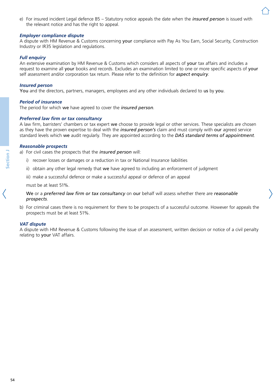e) For insured incident Legal defence B5 – Statutory notice appeals the date when the *insured person* is issued with the relevant notice and has the right to appeal.

#### *Employer compliance dispute*

A dispute with HM Revenue & Customs concerning your compliance with Pay As You Earn, Social Security, Construction Industry or IR35 legislation and regulations.

#### *Full enquiry*

An extensive examination by HM Revenue & Customs which considers all aspects of your tax affairs and includes a request to examine all your books and records. Excludes an examination limited to one or more specific aspects of your self assessment and/or corporation tax return. Please refer to the definition for *aspect enquiry*.

#### *Insured person*

You and the directors, partners, managers, employees and any other individuals declared to us by you.

#### *Period of insurance*

The period for which we have agreed to cover the *insured person*.

#### *Preferred law firm or tax consultancy*

A law firm, barristers' chambers or tax expert we choose to provide legal or other services. These specialists are chosen as they have the proven expertise to deal with the *insured person's* claim and must comply with our agreed service standard levels which we audit regularly. They are appointed according to the *DAS standard terms of appointment*.

#### *Reasonable prospects*

a) For civil cases the prospects that the *insured person* will:

- i) recover losses or damages or a reduction in tax or National Insurance liabilities
- ii) obtain any other legal remedy that we have agreed to including an enforcement of iudgment
- iii) make a successful defence or make a successful appeal or defence of an appeal

must be at least 51%.

#### We or a *preferred law firm or tax consultancy* on our behalf will assess whether there are *reasonable prospects*.

b) For criminal cases there is no requirement for there to be prospects of a successful outcome. However for appeals the prospects must be at least 51%.

#### *VAT dispute*

A dispute with HM Revenue & Customs following the issue of an assessment, written decision or notice of a civil penalty relating to your VAT affairs.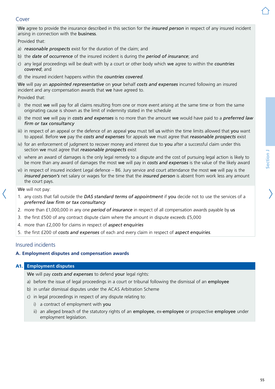# **Section J** Section J

We agree to provide the insurance described in this section for the *insured person* in respect of any insured incident arising in connection with the business.

Provided that:

- a) *reasonable prospects* exist for the duration of the claim; and
- b) the *date of occurrence* of the insured incident is during the *period of insurance*; and
- c) any legal proceedings will be dealt with by a court or other body which we agree to within the *countries covered*; and
- d) the insured incident happens within the *countries covered*.

We will pay an *appointed representative* on your behalf *costs and expenses* incurred following an insured incident and any compensation awards that we have agreed to.

Provided that:

- i) the most we will pay for all claims resulting from one or more event arising at the same time or from the same originating cause is shown as the limit of indemnity stated in the schedule
- ii) the most we will pay in *costs and expenses* is no more than the amount we would have paid to a *preferred law firm or tax consultancy*
- iii) in respect of an appeal or the defence of an appeal you must tell us within the time limits allowed that you want to appeal. Before we pay the *costs and expenses* for appeals we must agree that *reasonable prospects* exist
- iv) for an enforcement of judgment to recover money and interest due to you after a successful claim under this section we must agree that *reasonable prospects* exist
- v) where an award of damages is the only legal remedy to a dispute and the cost of pursuing legal action is likely to be more than any award of damages the most we will pay in *costs and expenses* is the value of the likely award
- vi) in respect of insured incident Legal defence  $-$  B6. Jury service and court attendance the most we will pay is the *insured person's* net salary or wages for the time that the *insured person* is absent from work less any amount the court pays.

We will not pay:

- 1. any costs that fall outside the *DAS standard terms of appointment* if you decide not to use the services of a *preferred law firm or tax consultancy*
- 2. more than £1,000,000 in any one *period of insurance* in respect of all compensation awards payable by us
- 3. the first £500 of any contract dispute claim where the amount in dispute exceeds £5,000
- 4. more than £2,000 for claims in respect of *aspect enquiries*
- 5. the first £200 of *costs and expenses* of each and every claim in respect of *aspect enquiries*.

## Insured incidents

#### **A. Employment disputes and compensation awards**

### A1. **Employment disputes**

We will pay *costs and expenses* to defend your legal rights:

- a) before the issue of legal proceedings in a court or tribunal following the dismissal of an employee
- b) in unfair dismissal disputes under the ACAS Arbitration Scheme
- c) in legal proceedings in respect of any dispute relating to:
	- i) a contract of employment with you
	- ii) an alleged breach of the statutory rights of an employee, ex-employee or prospective employee under employment legislation.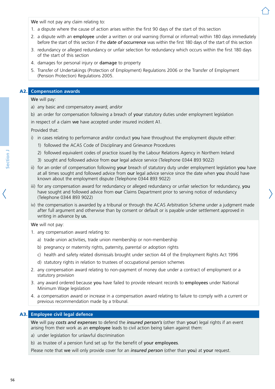We will not pay any claim relating to:

- 1. a dispute where the cause of action arises within the first 90 days of the start of this section
- 2. a dispute with an employee under a written or oral warning (formal or informal) within 180 days immediately before the start of this section if the *date of occurrence* was within the first 180 days of the start of this section
- 3. redundancy or alleged redundancy or unfair selection for redundancy which occurs within the first 180 days of the start of this section
- 4. damages for personal injury or damage to property
- 5. Transfer of Undertakings (Protection of Employment) Regulations 2006 or the Transfer of Employment (Pension Protection) Regulations 2005.

#### A2. **Compensation awards**

We will pay:

- a) any basic and compensatory award; and/or
- b) an order for compensation following a breach of your statutory duties under employment legislation in respect of a claim we have accepted under insured incident A1.

Provided that:

- i) in cases relating to performance and/or conduct you have throughout the employment dispute either:
	- 1) followed the ACAS Code of Disciplinary and Grievance Procedures
	- 2) followed equivalent codes of practice issued by the Labour Relations Agency in Northern Ireland
	- 3) sought and followed advice from our legal advice service (Telephone 0344 893 9022)
- ii) for an order of compensation following your breach of statutory duty under employment legislation you have at all times sought and followed advice from our legal advice service since the date when you should have known about the employment dispute (Telephone 0344 893 9022)
- iii) for any compensation award for redundancy or alleged redundancy or unfair selection for redundancy, you have sought and followed advice from our Claims Department prior to serving notice of redundancy (Telephone 0344 893 9022)
- iv) the compensation is awarded by a tribunal or through the ACAS Arbitration Scheme under a judgment made after full argument and otherwise than by consent or default or is payable under settlement approved in writing in advance by us.

We will not pay:

- 1. any compensation award relating to:
	- a) trade union activities, trade union membership or non-membership
	- b) pregnancy or maternity rights, paternity, parental or adoption rights
	- c) health and safety related dismissals brought under section 44 of the Employment Rights Act 1996
	- d) statutory rights in relation to trustees of occupational pension schemes
- 2. any compensation award relating to non-payment of money due under a contract of employment or a statutory provision
- 3. any award ordered because you have failed to provide relevant records to employees under National Minimum Wage legislation
- 4. a compensation award or increase in a compensation award relating to failure to comply with a current or previous recommendation made by a tribunal.

## A3. **Employee civil legal defence**

We will pay *costs and expenses* to defend the *insured person's* (other than your) legal rights if an event arising from their work as an employee leads to civil action being taken against them:

- a) under legislation for unlawful discrimination
- b) as trustee of a pension fund set up for the benefit of your employees.

Please note that we will only provide cover for an *insured person* (other than you) at your request.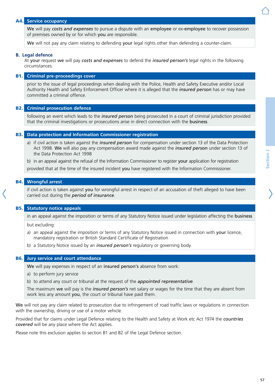#### A4. **Service occupancy**

We will pay *costs and expenses* to pursue a dispute with an employee or ex-employee to recover possession of premises owned by or for which you are responsible.

We will not pay any claim relating to defending your legal rights other than defending a counter-claim.

#### **B. Legal defence**

At your request we will pay *costs and expenses* to defend the *insured person's* legal rights in the following circumstances:

#### B1. **Criminal pre-proceedings cover**

prior to the issue of legal proceedings when dealing with the Police, Health and Safety Executive and/or Local Authority Health and Safety Enforcement Officer where it is alleged that the *insured person* has or may have committed a criminal offence.

#### B2. **Criminal prosecution defence**

following an event which leads to the *insured person* being prosecuted in a court of criminal jurisdiction provided that the criminal investigations or prosecutions arise in direct connection with the business.

#### B3. **Data protection and Information Commissioner registration**

a) if civil action is taken against the *insured person* for compensation under section 13 of the Data Protection Act 1998. We will also pay any compensation award made against the *insured person* under section 13 of the Data Protection Act 1998

b) in an appeal against the refusal of the Information Commissioner to register your application for registration

provided that at the time of the insured incident you have registered with the Information Commissioner.

#### B4. **Wrongful arrest**

if civil action is taken against you for wrongful arrest in respect of an accusation of theft alleged to have been carried out during the *period of insurance*.

#### B5. **Statutory notice appeals**

in an appeal against the imposition or terms of any Statutory Notice issued under legislation affecting the business

but excluding:

- a) an appeal against the imposition or terms of any Statutory Notice issued in connection with your licence, mandatory registration or British Standard Certificate of Registration
- b) a Statutory Notice issued by an *insured person's* regulatory or governing body.

#### B6. **Jury service and court attendance**

We will pay expenses in respect of an insured person's absence from work:

- a) to perform jury service
- b) to attend any court or tribunal at the request of the *appointed representative*.

The maximum we will pay is the *insured person's* net salary or wages for the time that they are absent from work less any amount you, the court or tribunal have paid them.

We will not pay any claim related to prosecution due to infringement of road traffic laws or regulations in connection with the ownership, driving or use of a motor vehicle.

Provided that for claims under Legal Defence relating to the Health and Safety at Work etc Act 1974 the *countries covered* will be any place where the Act applies.

Please note this exclusion applies to section B1 and B2 of the Legal Defence section.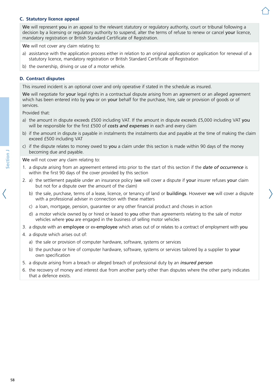#### **C. Statutory licence appeal**

We will represent you in an appeal to the relevant statutory or regulatory authority, court or tribunal following a decision by a licensing or regulatory authority to suspend, alter the terms of refuse to renew or cancel your licence, mandatory registration or British Standard Certificate of Registration.

We will not cover any claim relating to:

- a) assistance with the application process either in relation to an original application or application for renewal of a statutory licence, mandatory registration or British Standard Certificate of Registration
- b) the ownership, driving or use of a motor vehicle.

#### **D. Contract disputes**

This insured incident is an optional cover and only operative if stated in the schedule as insured.

We will negotiate for your legal rights in a contractual dispute arising from an agreement or an alleged agreement which has been entered into by you or on your behalf for the purchase, hire, sale or provision of goods or of services.

Provided that:

- a) the amount in dispute exceeds £500 including VAT. If the amount in dispute exceeds £5,000 including VAT you will be responsible for the first £500 of *costs and expenses* in each and every claim
- b) if the amount in dispute is payable in instalments the instalments due and payable at the time of making the claim exceed £500 including VAT
- c) if the dispute relates to money owed to you a claim under this section is made within 90 days of the money becoming due and payable.

We will not cover any claim relating to:

- 1. a dispute arising from an agreement entered into prior to the start of this section if the *date of occurrence* is within the first 90 days of the cover provided by this section
- 2. a) the settlement payable under an insurance policy (we will cover a dispute if your insurer refuses your claim but not for a dispute over the amount of the claim)
	- b) the sale, purchase, terms of a lease, licence, or tenancy of land or buildings. However we will cover a dispute with a professional adviser in connection with these matters
	- c) a loan, mortgage, pension, guarantee or any other financial product and choses in action
	- d) a motor vehicle owned by or hired or leased to you other than agreements relating to the sale of motor vehicles where you are engaged in the business of selling motor vehicles
- 3. a dispute with an employee or ex-employee which arises out of or relates to a contract of employment with you
- 4. a dispute which arises out of:
	- a) the sale or provision of computer hardware, software, systems or services
	- b) the purchase or hire of computer hardware, software, systems or services tailored by a supplier to your own specification
- 5. a dispute arising from a breach or alleged breach of professional duty by an *insured person*
- 6. the recovery of money and interest due from another party other than disputes where the other party indicates that a defence exists.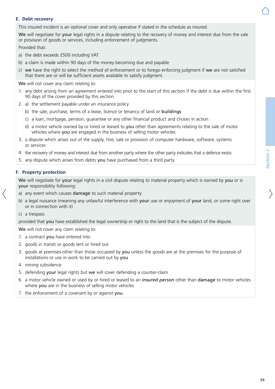#### **E. Debt recovery**

This insured incident is an optional cover and only operative if stated in the schedule as insured.

We will negotiate for your legal rights in a dispute relating to the recovery of money and interest due from the sale or provision of goods or services, including enforcement of judgments.

Provided that:

- a) the debt exceeds £500 including VAT
- b) a claim is made within 90 days of the money becoming due and payable
- c) we have the right to select the method of enforcement or to forego enforcing judgment if we are not satisfied that there are or will be sufficient assets available to satisfy judgment.

We will not cover any claim relating to:

- 1. any debt arising from an agreement entered into prior to the start of this section if the debt is due within the first 90 days of the cover provided by this section
- 2. a) the settlement payable under an insurance policy
	- b) the sale, purchase, terms of a lease, licence or tenancy of land or buildings
	- c) a loan, mortgage, pension, guarantee or any other financial product and choses in action
	- d) a motor vehicle owned by or hired or leased to you other than agreements relating to the sale of motor vehicles where you are engaged in the business of selling motor vehicles
- 3. a dispute which arises out of the supply, hire, sale or provision of computer hardware, software, systems or services
- 4. the recovery of money and interest due from another party where the other party indicates that a defence exists
- 5. any dispute which arises from debts you have purchased from a third party.

#### **F. Property protection**

We will negotiate for your legal rights in a civil dispute relating to material property which is owned by you or is your responsibility following:

- a) any event which causes damage to such material property
- b) a legal nuisance (meaning any unlawful interference with your use or enjoyment of your land, or some right over or in connection with it)
- c) a trespass

provided that you have established the legal ownership or right to the land that is the subject of the dispute.

We will not cover any claim relating to:

- 1. a contract you have entered into
- 2. goods in transit or goods lent or hired out
- 3. goods at premises other than those occupied by you unless the goods are at the premises for the purpose of installations or use in work to be carried out by you
- 4. mining subsidence
- 5. defending your legal rights but we will cover defending a counter-claim
- 6. a motor vehicle owned or used by or hired or leased to an *insured person* other than damage to motor vehicles where you are in the business of selling motor vehicles
- 7. the enforcement of a covenant by or against you.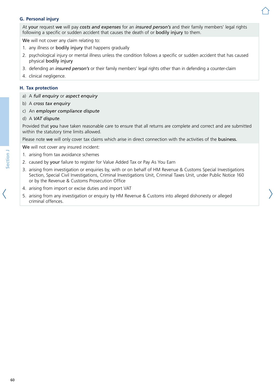### **G. Personal injury**

At your request we will pay *costs and expenses* for an *insured person's* and their family members' legal rights following a specific or sudden accident that causes the death of or bodily injury to them.

We will not cover any claim relating to:

- 1. any illness or bodily injury that happens gradually
- 2. psychological injury or mental illness unless the condition follows a specific or sudden accident that has caused physical bodily injury
- 3. defending an *insured person's* or their family members' legal rights other than in defending a counter-claim
- 4. clinical negligence.

#### **H. Tax protection**

- a) A *full enquiry* or *aspect enquiry*
- b) A *cross tax enquiry*
- c) An *employer compliance dispute*
- d) A *VAT dispute*.

Provided that you have taken reasonable care to ensure that all returns are complete and correct and are submitted within the statutory time limits allowed.

Please note we will only cover tax claims which arise in direct connection with the activities of the business.

We will not cover any insured incident:

- 1. arising from tax avoidance schemes
- 2. caused by your failure to register for Value Added Tax or Pay As You Earn
- 3. arising from investigation or enquiries by, with or on behalf of HM Revenue & Customs Special Investigations Section, Special Civil Investigations, Criminal Investigations Unit, Criminal Taxes Unit, under Public Notice 160 or by the Revenue & Customs Prosecution Office
- 4. arising from import or excise duties and import VAT
- 5. arising from any investigation or enquiry by HM Revenue & Customs into alleged dishonesty or alleged criminal offences.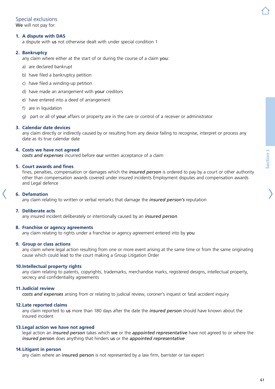## Special exclusions

We will not pay for:

### **1. A dispute with DAS**

a dispute with us not otherwise dealt with under special condition 1

### **2. Bankruptcy**

any claim where either at the start of or during the course of a claim you:

- a) are declared bankrupt
- b) have filed a bankruptcy petition
- c) have filed a winding-up petition
- d) have made an arrangement with your creditors
- e) have entered into a deed of arrangement
- f) are in liquidation
- g) part or all of your affairs or property are in the care or control of a receiver or administrator

#### **3. Calendar date devices**

any claim directly or indirectly caused by or resulting from any device failing to recognise, interpret or process any date as its true calendar date

#### **4. Costs we have not agreed**

*costs and expenses* incurred before our written acceptance of a claim

#### **5. Court awards and fines**

fines, penalties, compensation or damages which the *insured person* is ordered to pay by a court or other authority other than compensation awards covered under insured incidents Employment disputes and compensation awards and Legal defence

#### **6. Defamation**

any claim relating to written or verbal remarks that damage the *insured person's* reputation

#### **7. Deliberate acts**

any insured incident deliberately or intentionally caused by an *insured person*

#### **8. Franchise or agency agreements**

any claim relating to rights under a franchise or agency agreement entered into by you

#### **9. Group or class actions**

any claim where legal action resulting from one or more event arising at the same time or from the same originating cause which could lead to the court making a Group Litigation Order

#### **10.Intellectual property rights**

any claim relating to patents, copyrights, trademarks, merchandise marks, registered designs, intellectual property, secrecy and confidentiality agreements

#### **11.Judicial review**

*costs and expenses* arising from or relating to judicial review, coroner's inquest or fatal accident inquiry

#### **12.Late reported claims**

any claim reported to us more than 180 days after the date the *insured person* should have known about the insured incident

#### **13.Legal action we have not agreed**

legal action an *insured person* takes which we or the *appointed representative* have not agreed to or where the *insured person* does anything that hinders us or the *appointed representative*

#### **14.Litigant in person**

any claim where an insured person is not represented by a law firm, barrister or tax expert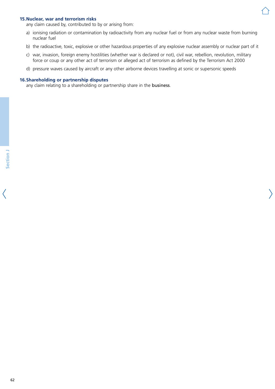#### **15.Nuclear, war and terrorism risks**

any claim caused by, contributed to by or arising from:

- a) ionising radiation or contamination by radioactivity from any nuclear fuel or from any nuclear waste from burning nuclear fuel
- b) the radioactive, toxic, explosive or other hazardous properties of any explosive nuclear assembly or nuclear part of it
- c) war, invasion, foreign enemy hostilities (whether war is declared or not), civil war, rebellion, revolution, military force or coup or any other act of terrorism or alleged act of terrorism as defined by the Terrorism Act 2000
- d) pressure waves caused by aircraft or any other airborne devices travelling at sonic or supersonic speeds

#### **16.Shareholding or partnership disputes**

any claim relating to a shareholding or partnership share in the business.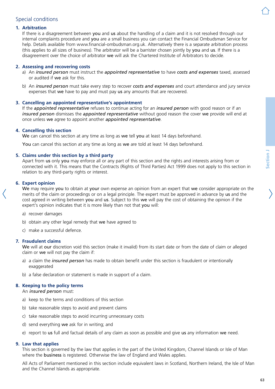

## Special conditions

#### **1. Arbitration**

If there is a disagreement between you and us about the handling of a claim and it is not resolved through our internal complaints procedure and you are a small business you can contact the Financial Ombudsman Service for help. Details available from [www.financial-ombudsman.org.uk](http://www.financial-ombudsman.org.uk). Alternatively there is a separate arbitration process (this applies to all sizes of business). The arbitrator will be a barrister chosen jointly by you and us. If there is a disagreement over the choice of arbitrator we will ask the Chartered Institute of Arbitrators to decide.

#### **2. Assessing and recovering costs**

- a) An *insured person* must instruct the *appointed representative* to have *costs and expenses* taxed, assessed or audited if we ask for this.
- b) An *insured person* must take every step to recover *costs and expenses* and court attendance and jury service expenses that we have to pay and must pay us any amounts that are recovered.

#### **3. Cancelling an appointed representative's appointment**

If the *appointed representative* refuses to continue acting for an *insured person* with good reason or if an *insured person* dismisses the *appointed representative* without good reason the cover we provide will end at once unless we agree to appoint another *appointed representative*.

#### **4. Cancelling this section**

We can cancel this section at any time as long as we tell you at least 14 days beforehand.

You can cancel this section at any time as long as we are told at least 14 days beforehand.

#### **5. Claims under this section by a third party**

Apart from us only you may enforce all or any part of this section and the rights and interests arising from or connected with it. This means that the Contracts (Rights of Third Parties) Act 1999 does not apply to this section in relation to any third-party rights or interest.

#### **6. Expert opinion**

We may require you to obtain at your own expense an opinion from an expert that we consider appropriate on the merits of the claim or proceedings or on a legal principle. The expert must be approved in advance by us and the cost agreed in writing between you and us. Subject to this we will pay the cost of obtaining the opinion if the expert's opinion indicates that it is more likely than not that you will:

- a) recover damages
- b) obtain any other legal remedy that we have agreed to
- c) make a successful defence.

#### **7. Fraudulent claims**

We will at our discretion void this section (make it invalid) from its start date or from the date of claim or alleged claim or we will not pay the claim if:

- a) a claim the *insured person* has made to obtain benefit under this section is fraudulent or intentionally exaggerated
- b) a false declaration or statement is made in support of a claim.

#### **8. Keeping to the policy terms**

An *insured person* must:

- a) keep to the terms and conditions of this section
- b) take reasonable steps to avoid and prevent claims
- c) take reasonable steps to avoid incurring unnecessary costs
- d) send everything we ask for in writing; and
- e) report to us full and factual details of any claim as soon as possible and give us any information we need.

#### **9. Law that applies**

This section is governed by the law that applies in the part of the United Kingdom, Channel Islands or Isle of Man where the business is registered. Otherwise the law of England and Wales applies.

All Acts of Parliament mentioned in this section include equivalent laws in Scotland, Northern Ireland, the Isle of Man and the Channel Islands as appropriate.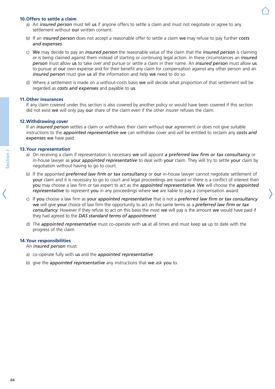#### **10.Offers to settle a claim**

- a) An *insured person* must tell us if anyone offers to settle a claim and must not negotiate or agree to any settlement without our written consent.
- b) If an i*nsured person* does not accept a reasonable offer to settle a claim we may refuse to pay further *costs and expenses*.
- c) We may decide to pay an *insured person* the reasonable value of the claim that the *insured person* is claiming or is being claimed against them instead of starting or continuing legal action. In these circumstances an *insured person* must allow us to take over and pursue or settle a claim in their name. An *insured person* must allow us to pursue at our own expense and for their benefit any claim for compensation against any other person and an *insured person* must give us all the information and help we need to do so.
- d) Where a settlement is made on a without-costs basis we will decide what proportion of that settlement will be regarded as *costs and expenses* and payable to us.

#### **11.Other insurances**

If any claim covered under this section is also covered by another policy or would have been covered if this section did not exist we will only pay our share of the claim even if the other insurer refuses the claim.

#### **12.Withdrawing cover**

If an *insured person* settles a claim or withdraws their claim without our agreement or does not give suitable instructions to the *appointed representative* we can withdraw cover and will be entitled to reclaim any *costs and expenses* we have paid.

#### **13.Your representation**

- a) On receiving a claim if representation is necessary we will appoint *a preferred law firm or tax consultancy* or in-house lawyer as your *appointed representative* to deal with your claim. They will try to settle your claim by negotiation without having to go to court.
- b) If the appointed *preferred law firm or tax consultancy* or our in-house lawyer cannot negotiate settlement of your claim and it is necessary to go to court and legal proceedings are issued or there is a conflict of interest then you may choose a law firm or tax expert to act as the *appointed representative*. We will choose the *appointed representative* to represent you in any proceedings where we are liable to pay a compensation award.
- c) If you choose a law firm as your *appointed representative* that is not a *preferred law firm or tax consultancy* we will give your choice of law firm the opportunity to act on the same terms as a *preferred law firm or tax consultancy*. However if they refuse to act on this basis the most we will pay is the amount we would have paid if they had agreed to the *DAS standard terms of appointment*.
- d) The *appointed representative* must co-operate with us at all times and must keep us up to date with the progress of the claim.

#### **14.Your responsibilities**

An *insured person* must:

- a) co-operate fully with us and the *appointed representative*
- b) give the *appointed representative* any instructions that we ask you to.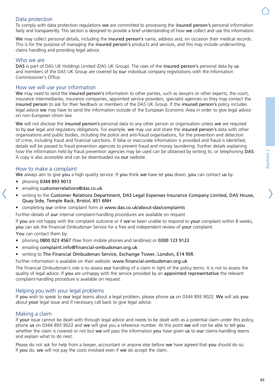## Data protection

To comply with data protection regulations we are committed to processing the insured person's personal information fairly and transparently. This section is designed to provide a brief understanding of how we collect and use this information.

We may collect personal details, including the insured person's name, address and, on occasion their medical records. This is for the purpose of managing the insured person's products and services, and this may include underwriting, claims handling and providing legal advice.

### Who we are

DAS is part of DAS UK Holdings Limited (DAS UK Group). The uses of the insured person's personal data by us and members of the DAS UK Group are covered by our individual company registrations with the Information Commissioner's Office.

## How we will use your information

We may need to send the insured person's information to other parties, such as lawyers or other experts, the court, insurance intermediaries, insurance companies, appointed service providers, specialist agencies so they may contact the insured person to ask for their feedback or members of the DAS UK Group. If the insured person's policy includes legal advice we may have to send the information outside of the European Economic Area in order to give legal advice on non-European Union law.

We will not disclose the insured person's personal data to any other person or organisation unless we are required to by our legal and regulatory obligations. For example, we may use and share the insured person's data with other organisations and public bodies, including the police and anti-fraud organisations, for the prevention and detection of crime, including fraud and financial sanctions. If false or inaccurate information is provided and fraud is identified, details will be passed to fraud prevention agencies to prevent fraud and money laundering. Further details explaining how the information held by fraud prevention agencies may be used can be obtained by writing to, or telephoning DAS. A copy is also accessible and can be downloaded via our website.

### How to make a complaint

We always aim to give you a high quality service. If you think we have let you down, you can contact us by:

- phoning 0344 893 9013
- emailing [customerrelations@das.co.uk](mailto:customerrelations@das.co.uk)
- writing to the Customer Relations Department, DAS Legal Expenses Insurance Company Limited, DAS House, Quay Side, Temple Back, Bristol, BS1 6NH
- completing our online complaint form at [www.das.co.uk/about-das/complaints](http://www.das.co.uk/about-das/complaints)

Further details of our internal complaint-handling procedures are available on request.

If you are not happy with the complaint outcome or if we've been unable to respond to your complaint within 8 weeks, you can ask the Financial Ombudsman Service for a free and independent review of your complaint. You can contact them by:

- phoning 0800 023 4567 (free from mobile phones and landlines) or 0300 123 9123
- emailing [complaint.info@financial-ombudsman.org.uk](mailto:complaint.info@financial-ombudsman.org.uk)
- writing to The Financial Ombudsman Service, Exchange Tower, London, E14 9SR.

Further information is available on their website: [www.financial-ombudsman.org.uk](http://www.financial-ombudsman.org.uk)

The Financial Ombudsman's role is to assess our handling of a claim in light of the policy terms. It is not to assess the quality of legal advice. If you are unhappy with the service provided by an appointed representative the relevant complaint-handling procedure is available on request.

#### Helping you with your legal problems

If you wish to speak to our legal teams about a legal problem, please phone us on 0344 893 9022. We will ask you about your legal issue and if necessary call back to give legal advice.

#### Making a claim

If your issue cannot be dealt with through legal advice and needs to be dealt with as a potential claim under this policy, phone us on 0344 893 9022 and we will give you a reference number. At this point we will not be able to tell you whether the claim is covered or not but we will pass the information you have given us to our claims-handling teams and explain what to do next.

Please do not ask for help from a lawyer, accountant or anyone else before we have agreed that you should do so. If you do, we will not pay the costs involved even if we do accept the claim.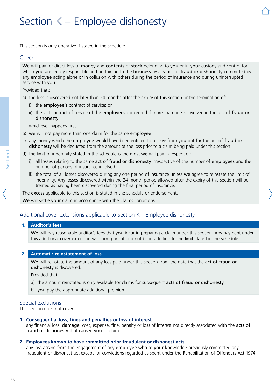# Section K – Employee dishonesty

This section is only operative if stated in the schedule.

### Cover

We will pay for direct loss of money and contents or stock belonging to you or in your custody and control for which you are legally responsible and pertaining to the business by any act of fraud or dishonesty committed by any employee acting alone or in collusion with others during the period of insurance and during uninterrupted service with you.

Provided that:

- a) the loss is discovered not later than 24 months after the expiry of this section or the termination of:
	- i) the employee's contract of service; or
	- ii) the last contract of service of the employees concerned if more than one is involved in the act of fraud or dishonesty

whichever happens first

- b) we will not pay more than one claim for the same employee
- c) any money which the employee would have been entitled to receive from you but for the act of fraud or dishonesty will be deducted from the amount of the loss prior to a claim being paid under this section
- d) the limit of indemnity stated in the schedule is the most we will pay in respect of:
	- i) all losses relating to the same act of fraud or dishonesty irrespective of the number of employees and the number of periods of insurance involved
	- ii) the total of all losses discovered during any one period of insurance unless we agree to reinstate the limit of indemnity. Any losses discovered within the 24 month period allowed after the expiry of this section will be treated as having been discovered during the final period of insurance.

The excess applicable to this section is stated in the schedule or endorsements.

We will settle your claim in accordance with the Claims conditions.

## Additional cover extensions applicable to Section K – Employee dishonesty

#### 1. **Auditor's fees**

We will pay reasonable auditor's fees that you incur in preparing a claim under this section. Any payment under this additional cover extension will form part of and not be in addition to the limit stated in the schedule.

#### 2. **Automatic reinstatement of loss**

We will reinstate the amount of any loss paid under this section from the date that the act of fraud or dishonesty is discovered.

Provided that:

- a) the amount reinstated is only available for claims for subsequent acts of fraud or dishonesty
- b) you pay the appropriate additional premium.

#### Special exclusions

This section does not cover:

#### **1. Consequential loss, fines and penalties or loss of interest**

any financial loss, damage, cost, expense, fine, penalty or loss of interest not directly associated with the acts of fraud or dishonesty that caused you to claim

#### **2. Employees known to have committed prior fraudulent or dishonest acts**

any loss arising from the engagement of any employee who to your knowledge previously committed any fraudulent or dishonest act except for convictions regarded as spent under the Rehabilitation of Offenders Act 1974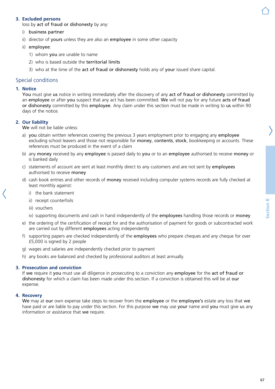### **3. Excluded persons**

loss by act of fraud or dishonesty by any:

- i) business partner
- ii) director of yours unless they are also an employee in some other capacity
- ii) employee:
	- 1) whom you are unable to name
	- 2) who is based outside the territorial limits
	- 3) who at the time of the act of fraud or dishonesty holds any of your issued share capital.

## Special conditions

#### **1. Notice**

You must give us notice in writing immediately after the discovery of any act of fraud or dishonesty committed by an employee or after you suspect that any act has been committed. We will not pay for any future acts of fraud or dishonesty committed by this employee. Any claim under this section must be made in writing to us within 90 days of the notice.

#### **2. Our liability**

We will not be liable unless:

- a) you obtain written references covering the previous 3 years employment prior to engaging any employee excluding school leavers and those not responsible for money, contents, stock, bookkeeping or accounts. These references must be produced in the event of a claim
- b) any money received by any employee is passed daily to you or to an employee authorised to receive money or is banked daily
- c) statements of account are sent at least monthly direct to any customers and are not sent by employees authorised to receive money
- d) cash book entries and other records of money received including computer systems records are fully checked at least monthly against:
	- i) the bank statement
	- ii) receipt counterfoils
	- iii) vouchers
	- iv) supporting documents and cash in hand independently of the employees handling those records or money
- e) the ordering of the certification of receipt for and the authorisation of payment for goods or subcontracted work are carried out by different employees acting independently
- f) supporting papers are checked independently of the employees who prepare cheques and any cheque for over £5,000 is signed by 2 people
- g) wages and salaries are independently checked prior to payment
- h) any books are balanced and checked by professional auditors at least annually.

#### **3. Prosecution and conviction**

If we require it you must use all diligence in prosecuting to a conviction any employee for the act of fraud or dishonesty for which a claim has been made under this section. If a conviction is obtained this will be at our expense.

#### **4. Recovery**

We may at our own expense take steps to recover from the employee or the employee's estate any loss that we have paid or are liable to pay under this section. For this purpose we may use your name and you must give us any information or assistance that we require.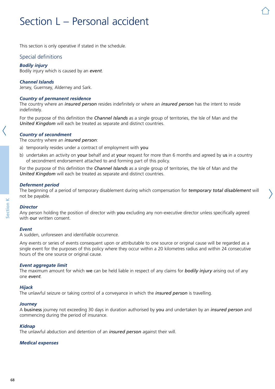# Section L – Personal accident

This section is only operative if stated in the schedule.

## Special definitions

#### *Bodily injury*

Bodily injury which is caused by an *event*.

#### *Channel Islands*

Jersey, Guernsey, Alderney and Sark.

#### *Country of permanent residence*

The country where an *insured person* resides indefinitely or where an *insured person* has the intent to reside indefinitely.

For the purpose of this definition the *Channel Islands* as a single group of territories, the Isle of Man and the *United Kingdom* will each be treated as separate and distinct countries.

#### *Country of secondment*

The country where an *insured person*:

- a) temporarily resides under a contract of employment with you
- b) undertakes an activity on your behalf and at your request for more than 6 months and agreed by us in a country of secondment endorsement attached to and forming part of this policy.

For the purpose of this definition the *Channel Islands* as a single group of territories, the Isle of Man and the *United Kingdom* will each be treated as separate and distinct countries.

#### *Deferment period*

The beginning of a period of temporary disablement during which compensation for *temporary total disablement* will not be payable.

#### *Director*

Any person holding the position of director with you excluding any non-executive director unless specifically agreed with our written consent.

#### *Event*

A sudden, unforeseen and identifiable occurrence.

Any events or series of events consequent upon or attributable to one source or original cause will be regarded as a single event for the purposes of this policy where they occur within a 20 kilometres radius and within 24 consecutive hours of the one source or original cause.

#### *Event aggregate limit*

The maximum amount for which we can be held liable in respect of any claims for *bodily injury* arising out of any one *event*.

#### *Hijack*

The unlawful seizure or taking control of a conveyance in which the *insured person* is travelling.

#### *Journey*

A business journey not exceeding 30 days in duration authorised by you and undertaken by an *insured person* and commencing during the period of insurance.

#### *Kidnap*

The unlawful abduction and detention of an *insured person* against their will.

#### *Medical expenses*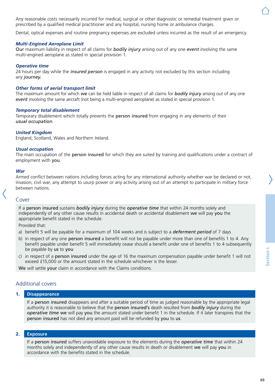Any reasonable costs necessarily incurred for medical, surgical or other diagnostic or remedial treatment given or prescribed by a qualified medical practitioner and any hospital, nursing home or ambulance charges.

Dental, optical expenses and routine pregnancy expenses are excluded unless incurred as the result of an emergency.

#### *Multi-Engined Aeroplane Limit*

Our maximum liability in respect of all claims for *bodily injury* arising out of any one *event* involving the same multi-engined aeroplane as stated in special provision 1.

#### *Operative time*

24 hours per day while the *insured person* is engaged in any activity not excluded by this section including any *journey.*

#### *Other forms of aerial transport limit*

The maximum amount for which we can be held liable in respect of all claims for *bodily injury* arising out of any one *event* involving the same aircraft (not being a multi-engined aeroplane) as stated in special provision 1.

#### *Temporary total disablement*

Temporary disablement which totally prevents the person insured from engaging in any elements of their *usual occupation*.

#### *United Kingdom*

England, Scotland, Wales and Northern Ireland.

#### *Usual occupation*

The main occupation of the person insured for which they are suited by training and qualifications under a contract of employment with you.

#### *War*

Armed conflict between nations including forces acting for any international authority whether war be declared or not, invasion, civil war, any attempt to usurp power or any activity arising out of an attempt to participate in military force between nations.

#### Cover

If a person insured sustains *bodily injury* during the *operative time* that within 24 months solely and independently of any other cause results in accidental death or accidental disablement we will pay you the appropriate benefit stated in the schedule.

Provided that:

- a) benefit 5 will be payable for a maximum of 104 weeks and is subject to a *deferment period* of 7 days
- b) in respect of any one person insured a benefit will not be payable under more than one of benefits 1 to 4. Any benefit payable under benefit 5 will immediately cease should a benefit under one of benefits 1 to 4 subsequently be payable by us to you
- c) in respect of a person insured under the age of 16 the maximum compensation payable under benefit 1 will not exceed £15,000 or the amount stated in the schedule whichever is the lesser.

We will settle your claim in accordance with the Claims conditions.

## Additional covers

#### 1. **Disappearance**

If a person insured disappears and after a suitable period of time as judged reasonable by the appropriate legal authority it is reasonable to believe that the person insured's death resulted from *bodily injury* during the *operative time* we will pay you the amount stated under benefit 1 in the schedule. If it later transpires that the person insured has not died any amount paid will be refunded by you to us.

#### 2. **Exposure**

If a person insured suffers unavoidable exposure to the elements during the *operative time* that within 24 months solely and independently of any other cause results in death or disablement we will pay you in accordance with the benefits stated in the schedule.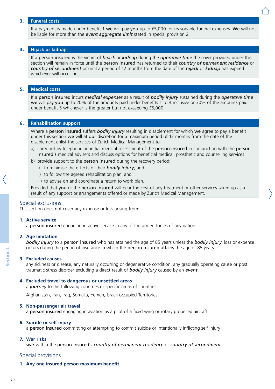#### 3. **Funeral costs**

If a payment is made under benefit 1 we will pay you up to £5,000 for reasonable funeral expenses. We will not be liable for more than the *event aggregate limit* stated in special provision 2.

#### 4. **Hijack or kidnap**

If a person insured is the victim of *hijack* or *kidnap* during the *operative time* the cover provided under this section will remain in force until the person insured has returned to their *country of permanent residence* or *country of secondment* or until a period of 12 months from the date of the *hijack* or *kidnap* has expired whichever will occur first.

#### 5. **Medical costs**

If a person insured incurs *medical expenses* as a result of *bodily injury* sustained during the *operative time* we will pay you up to 20% of the amounts paid under benefits 1 to 4 inclusive or 30% of the amounts paid under benefit 5 whichever is the greater but not exceeding £5,000.

#### 6. **Rehabilitation support**

Where a person insured suffers *bodily injury* resulting in disablement for which we agree to pay a benefit under this section we will at our discretion for a maximum period of 12 months from the date of the disablement enlist the services of Zurich Medical Management to:

- a) carry out by telephone an initial medical assessment of the person insured in conjunction with the person insured's medical advisers and discuss options for beneficial medical, prosthetic and counselling services
- b) provide support to the person insured during the recovery period:
	- i) to minimise the effects of their *bodily injury*; and
	- ii) to follow the agreed rehabilitation plan; and
	- iii) to advise on and coordinate a return to work plan.

Provided that you or the person insured will bear the cost of any treatment or other services taken up as a result of any support or arrangements offered or made by Zurich Medical Management.

#### Special exclusions

This section does not cover any expense or loss arising from:

#### **1. Active service**

a person insured engaging in active service in any of the armed forces of any nation

#### **2. Age limitation**

*bodily injury* to a person insured who has attained the age of 85 years unless the *bodily injury*, loss or expense occurs during the period of insurance in which the person insured attains the age of 85 years

#### **3. Excluded causes**

any sickness or disease, any naturally occurring or degenerative condition, any gradually operating cause or post traumatic stress disorder excluding a direct result of *bodily injury* caused by an *event*

#### **4. Excluded travel to dangerous or unsettled areas**

a *journey* to the following countries or specific areas of countries:

Afghanistan, Iran, Iraq, Somalia, Yemen, Israeli occupied Territories

#### **5. Non-passenger air travel**

a person insured engaging in aviation as a pilot of a fixed wing or rotary propelled aircraft

#### **6. Suicide or self injury**

a person insured committing or attempting to commit suicide or intentionally inflicting self injury

#### **7. War risks**

*war* within the person insured's *country of permanent residence* or *country of secondment*.

#### Special provisions

#### **1. Any one insured person maximum benefit**

**Section L**section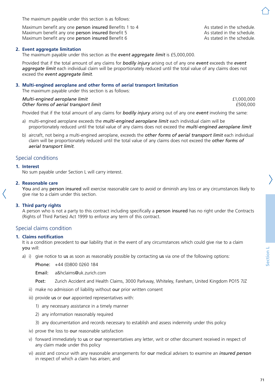The maximum payable under this section is as follows:

Maximum benefit any one **person insured** Benefits 1 to 4 As stated in the schedule.<br>Maximum benefit any one **person insured** Benefit 5 As stated in the schedule. Maximum benefit any one **person insured** Benefit 5 As stated in the schedule.<br>
Maximum benefit any one **person insured** Benefit 6 As stated in the schedule. Maximum benefit any one person insured Benefit 6

## **2. Event aggregate limitation**

The maximum payable under this section as the *event aggregate limit* is £5,000,000.

Provided that if the total amount of any claims for *bodily injury* arising out of any one *event* exceeds the *event aggregate limit* each individual claim will be proportionately reduced until the total value of any claims does not exceed the *event aggregate limit*.

#### **3. Multi-engined aeroplane and other forms of aerial transport limitation**

The maximum payable under this section is as follows:

#### *Multi-engined aeroplane limit* £1,000,000 **Other forms of aerial transport limit**  $\qquad 600,000$

Provided that if the total amount of any claims for *bodily injury* arising out of any one *event* involving the same:

- a) multi-engined aeroplane exceeds the *multi-engined aeroplane limit* each individual claim will be proportionately reduced until the total value of any claims does not exceed the *multi-engined aeroplane limit*
- b) aircraft, not being a multi-engined aeroplane, exceeds the *other forms of aerial transport limit* each individual claim will be proportionately reduced until the total value of any claims does not exceed the *other forms of aerial transport limit*.

## Special conditions

#### **1. Interest**

No sum payable under Section L will carry interest.

#### **2. Reasonable care**

You and any person insured will exercise reasonable care to avoid or diminish any loss or any circumstances likely to give rise to a claim under this section.

#### **3. Third party rights**

A person who is not a party to this contract including specifically a person insured has no right under the Contracts (Rights of Third Parties) Act 1999 to enforce any term of this contract.

#### Special claims condition

#### **1. Claims notification**

It is a condition precedent to our liability that in the event of any circumstances which could give rise to a claim you will:

a) i) give notice to us as soon as reasonably possible by contacting us via one of the following options:

Phone: +44 (0)800 0260 184

Email: a&[hclaims@uk.zurich.com](mailto:a%26hclaims%40uk.zurich.com?subject=)

- Post: Zurich Accident and Health Claims, 3000 Parkway, Whiteley, Fareham, United Kingdom PO15 7JZ
- ii) make no admission of liability without our prior written consent
- iii) provide us or our appointed representatives with:
	- 1) any necessary assistance in a timely manner
	- 2) any information reasonably required
	- 3) any documentation and records necessary to establish and assess indemnity under this policy
- iv) prove the loss to our reasonable satisfaction
- v) forward immediately to us or our representatives any letter, writ or other document received in respect of any claim made under this policy
- vi) assist and concur with any reasonable arrangements for our medical advisers to examine an *insured person* in respect of which a claim has arisen; and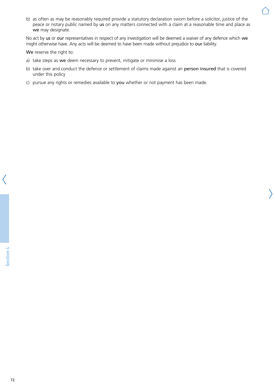b) as often as may be reasonably required provide a statutory declaration sworn before a solicitor, justice of the peace or notary public named by us on any matters connected with a claim at a reasonable time and place as we may designate.

No act by us or our representatives in respect of any investigation will be deemed a waiver of any defence which we might otherwise have. Any acts will be deemed to have been made without prejudice to our liability.

We reserve the right to:

- a) take steps as we deem necessary to prevent, mitigate or minimise a loss
- b) take over and conduct the defence or settlement of claims made against an person insured that is covered under this policy
- c) pursue any rights or remedies available to you whether or not payment has been made.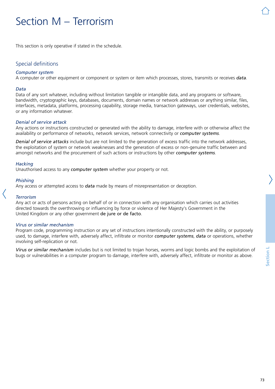# Section M – Terrorism

This section is only operative if stated in the schedule.

## Special definitions

#### *Computer system*

A computer or other equipment or component or system or item which processes, stores, transmits or receives *data*.

#### *Data*

Data of any sort whatever, including without limitation tangible or intangible data, and any programs or software, bandwidth, cryptographic keys, databases, documents, domain names or network addresses or anything similar, files, interfaces, metadata, platforms, processing capability, storage media, transaction gateways, user credentials, websites, or any information whatever.

#### *Denial of service attack*

Any actions or instructions constructed or generated with the ability to damage, interfere with or otherwise affect the availability or performance of networks, network services, network connectivity or *computer systems*.

*Denial of service attacks* include but are not limited to the generation of excess traffic into the network addresses, the exploitation of system or network weaknesses and the generation of excess or non-genuine traffic between and amongst networks and the procurement of such actions or instructions by other *computer systems*.

#### *Hacking*

Unauthorised access to any *computer system* whether your property or not.

#### *Phishing*

Any access or attempted access to *data* made by means of misrepresentation or deception.

#### *Terrorism*

Any act or acts of persons acting on behalf of or in connection with any organisation which carries out activities directed towards the overthrowing or influencing by force or violence of Her Majesty's Government in the United Kingdom or any other government de jure or de facto.

#### *Virus or similar mechanism*

Program code, programming instruction or any set of instructions intentionally constructed with the ability, or purposely used, to damage, interfere with, adversely affect, infiltrate or monitor *computer systems*, *data* or operations, whether involving self-replication or not.

*Virus or similar mechanism* includes but is not limited to trojan horses, worms and logic bombs and the exploitation of bugs or vulnerabilities in a computer program to damage, interfere with, adversely affect, infiltrate or monitor as above.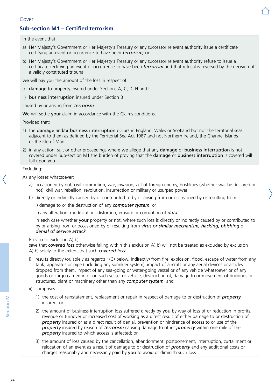# **Sub-section M1 – Certified terrorism**

In the event that:

- a) Her Majesty's Government or Her Majesty's Treasury or any successor relevant authority issue a certificate certifying an event or occurrence to have been *terrorism;* or
- b) Her Majesty's Government or Her Majesty's Treasury or any successor relevant authority refuse to issue a certificate certifying an event or occurrence to have been *terrorism* and that refusal is reversed by the decision of a validly constituted tribunal

we will pay you the amount of the loss in respect of:

- i) damage to property insured under Sections A, C, D, H and I
- ii) business interruption insured under Section B

caused by or arising from *terrorism*.

We will settle your claim in accordance with the Claims conditions.

Provided that:

- 1) the damage and/or business interruption occurs in England, Wales or Scotland but not the territorial seas adjacent to them as defined by the Territorial Sea Act 1987 and not Northern Ireland, the Channel Islands or the Isle of Man
- 2) in any action, suit or other proceedings where we allege that any damage or business interruption is not covered under Sub-section M1 the burden of proving that the damage or business interruption is covered will fall upon you.

Excluding:

- A) any losses whatsoever:
	- a) occasioned by riot, civil commotion, war, invasion, act of foreign enemy, hostilities (whether war be declared or not), civil war, rebellion, revolution, insurrection or military or usurped power
	- b) directly or indirectly caused by or contributed to by or arising from or occasioned by or resulting from:

i) damage to or the destruction of any *computer system*; or

ii) any alteration, modification, distortion, erasure or corruption of *data*

in each case whether your property or not, where such loss is directly or indirectly caused by or contributed to by or arising from or occasioned by or resulting from *virus or similar mechanism, hacking, phishing* or *denial of service attack*

#### Proviso to exclusion A) b)

save that *covered loss* otherwise falling within this exclusion A) b) will not be treated as excluded by exclusion A) b) solely to the extent that such *covered loss*:

- results directly (or, solely as regards ii) 3) below, indirectly) from fire, explosion, flood, escape of water from any tank, apparatus or pipe (including any sprinkler system), impact of aircraft or any aerial devices or articles dropped from them, impact of any sea-going or water-going vessel or of any vehicle whatsoever or of any goods or cargo carried in or on such vessel or vehicle, destruction of, damage to or movement of buildings or structures, plant or machinery other than any *computer system*; and
- ii) comprises:
	- 1) the cost of reinstatement, replacement or repair in respect of damage to or destruction of *property* insured; or
	- 2) the amount of business interruption loss suffered directly by you by way of loss of or reduction in profits, revenue or turnover or increased cost of working as a direct result of either damage to or destruction of *property* insured or as a direct result of denial, prevention or hindrance of access to or use of the *property* insured by reason of *terrorism* causing damage to other *property* within one mile of the *property* insured to which access is affected; or
	- 3) the amount of loss caused by the cancellation, abandonment, postponement, interruption, curtailment or relocation of an event as a result of damage to or destruction of *property* and any additional costs or charges reasonably and necessarily paid by you to avoid or diminish such loss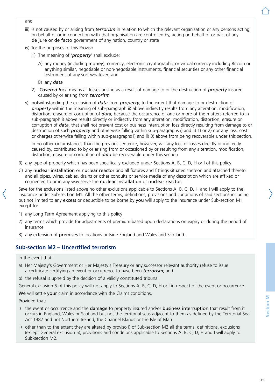- and
- iii) is not caused by or arising from *terrorism* in relation to which the relevant organisation or any persons acting on behalf of or in connection with that organisation are controlled by, acting on behalf of or part of any de jure or de facto government of any nation, country or state
- iv) for the purposes of this Proviso
	- 1) The meaning of '*property*' shall exclude:
		- A) any money (including money), currency, electronic cryptographic or virtual currency including Bitcoin or anything similar, negotiable or non-negotiable instruments, financial securities or any other financial instrument of any sort whatever; and
		- B) any *data*
	- 2) '*Covered loss*' means all losses arising as a result of damage to or the destruction of *property* insured caused by or arising from *terrorism*
- v) notwithstanding the exclusion of *data* from *property*, to the extent that damage to or destruction of *property* within the meaning of sub-paragraph ii) above indirectly results from any alteration, modification, distortion, erasure or corruption of *data*, because the occurrence of one or more of the matters referred to in sub-paragraph i) above results directly or indirectly from any alteration, modification, distortion, erasure or corruption of *data*, that shall not prevent cost or business interruption loss directly resulting from damage to or destruction of such *property* and otherwise falling within sub-paragraphs i) and ii) 1) or 2) nor any loss, cost or charges otherwise falling within sub-paragraphs i) and ii) 3) above from being recoverable under this section.

In no other circumstances than the previous sentence, however, will any loss or losses directly or indirectly caused by, contributed to by or arising from or occasioned by or resulting from any alteration, modification, distortion, erasure or corruption of *data* be recoverable under this section

- B) any type of property which has been specifically excluded under Sections A, B, C, D, H or I of this policy
- C) any nuclear installation or nuclear reactor and all fixtures and fittings situated thereon and attached thereto and all pipes, wires, cables, drains or other conduits or service media of any description which are affixed or connected to or in any way serve the nuclear installation or nuclear reactor.

Save for the exclusions listed above no other exclusions applicable to Sections A, B, C, D, H and I will apply to the insurance under Sub-section M1. All the other terms, definitions, provisions and conditions of said sections including but not limited to any excess or deductible to be borne by you will apply to the insurance under Sub-section M1 except for:

- 1) any Long Term Agreement applying to this policy
- 2) any terms which provide for adjustments of premium based upon declarations on expiry or during the period of insurance
- 3) any extension of premises to locations outside England and Wales and Scotland.

# **Sub-section M2 – Uncertified terrorism**

In the event that:

- a) Her Majesty's Government or Her Majesty's Treasury or any successor relevant authority refuse to issue a certificate certifying an event or occurrence to have been *terrorism*; and
- b) the refusal is upheld by the decision of a validly constituted tribunal

General exclusion 5 of this policy will not apply to Sections A, B, C, D, H or I in respect of the event or occurrence.

We will settle your claim in accordance with the Claims conditions.

Provided that:

- i) the event or occurrence and the damage to property insured and/or business interruption that result from it occurs in England, Wales or Scotland but not the territorial seas adjacent to them as defined by the Territorial Sea Act 1987 and not Northern Ireland, the Channel Islands or the Isle of Man
- ii) other than to the extent they are altered by proviso i) of Sub-section M2 all the terms, definitions, exclusions (except General exclusion 5), provisions and conditions applicable to Sections A, B, C, D, H and I will apply to Sub-section M2.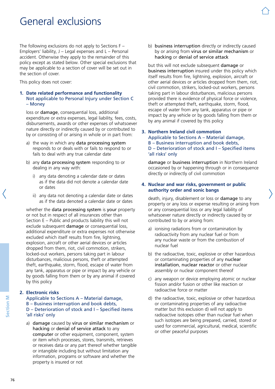# General exclusions

The following exclusions do not apply to Sections F – Employers' liability,  $J -$  Legal expenses and  $L -$  Personal accident. Otherwise they apply to the remainder of this policy except as stated below. Other special exclusions that may be applicable to a section of cover will be set out in the section of cover.

This policy does not cover:

#### **1. Date related performance and functionality** Not applicable to Personal Injury under Section C – Money

loss or damage, consequential loss, additional expenditure or extra expenses, legal liability, fees, costs, disbursements, awards or other expenses of whatsoever nature directly or indirectly caused by or contributed to by or consisting of or arising in whole or in part from:

- a) the way in which any data processing system responds to or deals with or fails to respond to or fails to deal with any true calendar date
- b) any data processing system responding to or dealing in any way with:
	- i) any data denoting a calendar date or dates as if the data did not denote a calendar date or dates
	- ii) any data not denoting a calendar date or dates as if the data denoted a calendar date or dates

whether the data processing system is your property or not but in respect of all insurances other than Section E – Public and products liability this will not exclude subsequent damage or consequential loss, additional expenditure or extra expenses not otherwise excluded which itself results from fire, lightning, explosion, aircraft or other aerial devices or articles dropped from them, riot, civil commotion, strikers, locked-out workers, persons taking part in labour disturbances, malicious persons, theft or attempted theft, earthquake, storm, flood, escape of water from any tank, apparatus or pipe or impact by any vehicle or by goods falling from them or by any animal if covered by this policy

## **2. Electronic risks**

#### Applicable to Sections A – Material damage, B – Business interruption and book debts, D – Deterioration of stock and I – Specified items 'all risks' only

a) damage caused by virus or similar mechanism or hacking or denial of service attack to any computer or other equipment, component, system or item which processes, stores, transmits, retrieves or receives data or any part thereof whether tangible or intangible including but without limitation any information, programs or software and whether the property is insured or not

b) business interruption directly or indirectly caused by or arising from virus or similar mechanism or hacking or denial of service attack

but this will not exclude subsequent damage or business interruption insured under this policy which itself results from fire, lightning, explosion, aircraft or other aerial devices or articles dropped from them, riot, civil commotion, strikers, locked-out workers, persons taking part in labour disturbances, malicious persons provided there is evidence of physical force or violence, theft or attempted theft, earthquake, storm, flood, escape of water from any tank, apparatus or pipe or impact by any vehicle or by goods falling from them or by any animal if covered by this policy

#### **3. Northern Ireland civil commotion** Applicable to Sections A – Material damage, B – Business interruption and book debts, D – Deterioration of stock and I – Specified items 'all risks' only

damage or business interruption in Northern Ireland occasioned by or happening through or in consequence directly or indirectly of civil commotion

### **4. Nuclear and war risks, government or public authority order and sonic bangs**

death, injury, disablement or loss or damage to any property or any loss or expense resulting or arising from or any consequential loss or any legal liability of whatsoever nature directly or indirectly caused by or contributed to by or arising from:

- a) ionising radiations from or contamination by radioactivity from any nuclear fuel or from any nuclear waste or from the combustion of nuclear fuel
- b) the radioactive, toxic, explosive or other hazardous or contaminating properties of any nuclear installation, nuclear reactor or other nuclear assembly or nuclear component thereof
- c) any weapon or device employing atomic or nuclear fission and/or fusion or other like reaction or radioactive force or matter
- d) the radioactive, toxic, explosive or other hazardous or contaminating properties of any radioactive matter but this exclusion d) will not apply to radioactive isotopes other than nuclear fuel when such isotopes are being prepared, carried, stored or used for commercial, agricultural, medical, scientific or other peaceful purposes

Section M **Section M**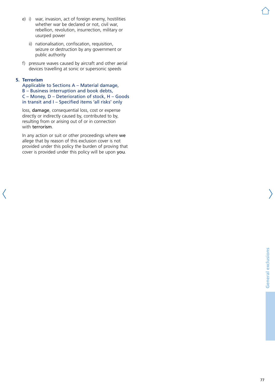- e) i) war, invasion, act of foreign enemy, hostilities whether war be declared or not, civil war, rebellion, revolution, insurrection, military or usurped power
	- ii) nationalisation, confiscation, requisition, seizure or destruction by any government or public authority
- f) pressure waves caused by aircraft and other aerial devices travelling at sonic or supersonic speeds

### **5. Terrorism**

 Applicable to Sections A – Material damage, B – Business interruption and book debts, C – Money, D – Deterioration of stock, H – Goods in transit and I – Specified items 'all risks' only

loss, damage, consequential loss, cost or expense directly or indirectly caused by, contributed to by, resulting from or arising out of or in connection with terrorism.

In any action or suit or other proceedings where we allege that by reason of this exclusion cover is not provided under this policy the burden of proving that cover is provided under this policy will be upon you.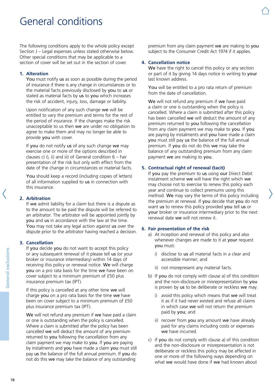# General conditions

The following conditions apply to the whole policy except Section J – Legal expenses unless stated otherwise below. Other special conditions that may be applicable to a section of cover will be set out in the section of cover.

### **1. Alteration**

You must notify us as soon as possible during the period of insurance if there is any change in circumstances or to the material facts previously disclosed by you to us or stated as material facts by us to you which increases the risk of accident, injury, loss, damage or liability.

Upon notification of any such change we will be entitled to vary the premium and terms for the rest of the period of insurance. If the changes make the risk unacceptable to us then we are under no obligation to agree to make them and may no longer be able to provide you with cover.

If you do not notify us of any such change we may exercise one or more of the options described in clauses c) i), ii) and iii) of General condition  $6 - \text{Fair}$ presentation of the risk but only with effect from the date of the change in circumstances or material facts.

You should keep a record (including copies of letters) of all information supplied to us in connection with this insurance.

## **2. Arbitration**

If we admit liability for a claim but there is a dispute as to the amount to be paid the dispute will be referred to an arbitrator. The arbitrator will be appointed jointly by you and us in accordance with the law at the time. You may not take any legal action against us over the dispute prior to the arbitrator having reached a decision.

## **3. Cancellation**

If you decide you do not want to accept this policy or any subsequent renewal of it please tell us (or your broker or insurance intermediary) within 14 days of receiving this policy or renewal notice. We will charge you on a pro rata basis for the time we have been on cover subject to a minimum premium of £50 plus insurance premium tax (IPT).

If this policy is cancelled at any other time we will charge you on a pro rata basis for the time we have been on cover subject to a minimum premium of £50 plus insurance premium tax (IPT).

We will not refund any premium if we have paid a claim or one is outstanding when the policy is cancelled. Where a claim is submitted after the policy has been cancelled we will deduct the amount of any premium returned to you following the cancellation from any claim payment we may make to you. If you are paying by instalments and you have made a claim you must still pay us the balance of the full annual premium. If you do not do this we may take the balance of any outstanding

premium from any claim payment we are making to you subject to the Consumer Credit Act 1974 if it applies.

#### **4. Cancellation notice**

We have the right to cancel this policy or any section or part of it by giving 14 days notice in writing to your last known address.

You will be entitled to a pro rata return of premium from the date of cancellation.

We will not refund any premium if we have paid a claim or one is outstanding when the policy is cancelled. Where a claim is submitted after this policy has been cancelled we will deduct the amount of any premium returned to you following the cancellation from any claim payment we may make to you. If you are paying by instalments and you have made a claim you must still pay us the balance of the full annual premium. If you do not do this we may take the balance of any outstanding premium from any claim payment we are making to you.

### **5. Contractual right of renewal (tacit)**

If you pay the premium to us using our Direct Debit instalment scheme we will have the right which we may choose not to exercise to renew this policy each year and continue to collect premiums using this method. We may vary the terms of this policy including the premium at renewal. If you decide that you do not want us to renew this policy provided you tell us or your broker or insurance intermediary prior to the next renewal date we will not renew it.

### **6. Fair presentation of the risk**

- a) At inception and renewal of this policy and also whenever changes are made to it at your request you must:
	- i) disclose to us all material facts in a clear and accessible manner; and
	- ii) not misrepresent any material facts.
- b) If you do not comply with clause a) of this condition and the non-disclosure or misrepresentation by you is proven by us to be deliberate or reckless we may:
	- i) avoid this policy which means that we will treat it as if it had never existed and refuse all claims in which case we will not return the premium paid by you; and
	- ii) recover from you any amount we have already paid for any claims including costs or expenses we have incurred.
- c) If you do not comply with clause a) of this condition and the non-disclosure or misrepresentation is not deliberate or reckless this policy may be affected in one or more of the following ways depending on what we would have done if we had known about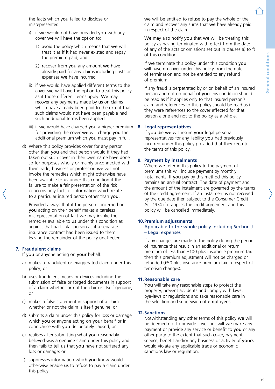the facts which you failed to disclose or misrepresented:

- i) if we would not have provided you with any cover we will have the option to:
	- 1) avoid the policy which means that we will treat it as if it had never existed and repay the premium paid; and
	- 2) recover from you any amount we have already paid for any claims including costs or expenses we have incurred
- ii) if we would have applied different terms to the cover we will have the option to treat this policy as if those different terms apply. We may recover any payments made by us on claims which have already been paid to the extent that such claims would not have been payable had such additional terms been applied
- iii) if we would have charged you a higher premium for providing the cover we will charge you the additional premium which you must pay in full.
- d) Where this policy provides cover for any person other than you and that person would if they had taken out such cover in their own name have done so for purposes wholly or mainly unconnected with their trade, business or profession we will not invoke the remedies which might otherwise have been available to us under this condition if the failure to make a fair presentation of the risk concerns only facts or information which relate to a particular insured person other than you.

Provided always that if the person concerned or you acting on their behalf makes a careless misrepresentation of fact we may invoke the remedies available to us under this condition as against that particular person as if a separate insurance contract had been issued to them leaving the remainder of the policy unaffected.

#### **7. Fraudulent claims**

If you or anyone acting on your behalf:

- a) makes a fraudulent or exaggerated claim under this policy; or
- b) uses fraudulent means or devices including the submission of false or forged documents in support of a claim whether or not the claim is itself genuine; or
- c) makes a false statement in support of a claim whether or not the claim is itself genuine; or
- d) submits a claim under this policy for loss or damage which you or anyone acting on your behalf or in connivance with you deliberately caused; or
- e) realises after submitting what you reasonably believed was a genuine claim under this policy and then fails to tell us that you have not suffered any loss or damage; or
- f) suppresses information which you know would otherwise enable us to refuse to pay a claim under this policy

we will be entitled to refuse to pay the whole of the claim and recover any sums that we have already paid in respect of the claim.

We may also notify you that we will be treating this policy as having terminated with effect from the date of any of the acts or omissions set out in clauses a) to f) of this condition.

If we terminate this policy under this condition you will have no cover under this policy from the date of termination and not be entitled to any refund of premium.

If any fraud is perpetrated by or on behalf of an insured person and not on behalf of you this condition should be read as if it applies only to that insured person's claim and references to this policy should be read as if they were references to the cover effected for that person alone and not to the policy as a whole.

#### **8. Legal representatives**

If you die we will insure your legal personal representatives for any liability you had previously incurred under this policy provided that they keep to the terms of this policy.

#### **9. Payment by instalments**

Where we refer in this policy to the payment of premiums this will include payment by monthly instalments. If you pay by this method this policy remains an annual contract. The date of payment and the amount of the instalment are governed by the terms of the credit agreement. If an instalment is not received by the due date then subject to the Consumer Credit Act 1974 if it applies the credit agreement and this policy will be cancelled immediately.

#### **10.Premium adjustments**

#### Applicable to the whole policy including Section J – Legal expenses

If any changes are made to the policy during the period of insurance that result in an additional or return premium of less than £100 plus insurance premium tax then this premium adjustment will not be charged or refunded (£50 plus insurance premium tax in respect of terrorism changes).

#### **11.Reasonable care**

You will take any reasonable steps to protect the property, prevent accidents and comply with laws, bye-laws or regulations and take reasonable care in the selection and supervision of employees.

#### **12.Sanctions**

Notwithstanding any other terms of this policy we will be deemed not to provide cover nor will we make any payment or provide any service or benefit to you or any other party to the extent that such cover, payment, service, benefit and/or any business or activity of yours would violate any applicable trade or economic sanctions law or regulation.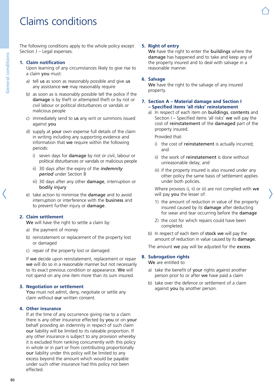# Claims conditions

The following conditions apply to the whole policy except Section J – Legal expenses.

#### **1. Claim notification**

Upon learning of any circumstances likely to give rise to a claim you must:

- a) tell us as soon as reasonably possible and give us any assistance we may reasonably require
- b) as soon as is reasonably possible tell the police if the damage is by theft or attempted theft or by riot or civil labour or political disturbances or vandals or malicious people
- c) immediately send to us any writ or summons issued against you
- d) supply at your own expense full details of the claim in writing including any supporting evidence and information that we require within the following periods:
	- i) seven days for damage by riot or civil, labour or political disturbances or vandals or malicious people
	- ii) 30 days after the expiry of the *indemnity period* under Section B
	- iii) 30 days after any other damage, interruption or bodily injury
- e) take action to minimise the damage and to avoid interruption or interference with the business and to prevent further injury or damage.

### **2. Claim settlement**

We will have the right to settle a claim by:

- a) the payment of money
- b) reinstatement or replacement of the property lost or damaged
- c) repair of the property lost or damaged.

If we decide upon reinstatement, replacement or repair we will do so in a reasonable manner but not necessarily to its exact previous condition or appearance. We will not spend on any one item more than its sum insured.

#### **3. Negotiation or settlement**

You must not admit, deny, negotiate or settle any claim without our written consent.

### **4. Other insurance**

If at the time of any occurrence giving rise to a claim there is any other insurance effected by you or on your behalf providing an indemnity in respect of such claim our liability will be limited to its rateable proportion. If any other insurance is subject to any provision whereby it is excluded from ranking concurrently with this policy in whole or in part or from contributing proportionally our liability under this policy will be limited to any excess beyond the amount which would be payable under such other insurance had this policy not been effected.

#### **5. Right of entry**

We have the right to enter the buildings where the damage has happened and to take and keep any of the property insured and to deal with salvage in a reasonable manner.

#### **6. Salvage**

We have the right to the salvage of any insured property.

#### **7. Section A – Material damage and Section I – Specified items 'all risks' reinstatement**

a) In respect of each item on **buildings**, contents and Section I – Specified items 'all risks' we will pay the cost of reinstatement of the damaged part of the property insured.

Provided that:

- i) the cost of reinstatement is actually incurred; and
- ii) the work of reinstatement is done without unreasonable delay; and
- iii) if the property insured is also insured under any other policy the same basis of settlement applies under both policies.

Where provisos i), ii) or iii) are not complied with we will pay you the lesser of:

- 1) the amount of reduction in value of the property insured caused by its damage after deducting for wear and tear occurring before the damage
- 2) the cost for which repairs could have been completed.
- b) In respect of each item of stock we will pay the amount of reduction in value caused by its damage.

The amount we pay will be adjusted for the excess.

#### **8. Subrogation rights**

We are entitled to:

- a) take the benefit of your rights against another person prior to or after we have paid a claim
- b) take over the defence or settlement of a claim against you by another person.